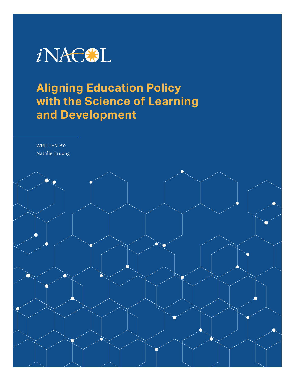

# **Aligning Education Policy with the Science of Learning and Development**

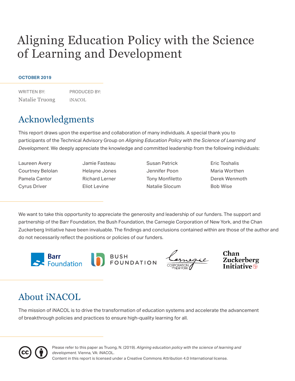# Aligning Education Policy with the Science of Learning and Development

### **OCTOBER 2019**

WRITTEN BY: Natalie Truong PRODUCED BY: iNACOL

## Acknowledgments

This report draws upon the expertise and collaboration of many individuals. A special thank you to participants of the Technical Advisory Group on *Aligning Education Policy with the Science of Learning and Development*. We deeply appreciate the knowledge and committed leadership from the following individuals:

- Laureen Avery Courtney Belolan Pamela Cantor Cyrus Driver
- Jamie Fasteau Helayne Jones Richard Lerner Eliot Levine

Susan Patrick Jennifer Poon Tony Monfiletto Natalie Slocum

Eric Toshalis Maria Worthen Derek Wenmoth Bob Wise

We want to take this opportunity to appreciate the generosity and leadership of our funders. The support and partnership of the Barr Foundation, the Bush Foundation, the Carnegie Corporation of New York, and the Chan Zuckerberg Initiative have been invaluable. The findings and conclusions contained within are those of the author and do not necessarily reflect the positions or policies of our funders.







Zuckerberg

## About iNACOL

The mission of iNACOL is to drive the transformation of education systems and accelerate the advancement of breakthrough policies and practices to ensure high-quality learning for all.



Content in this report is licensed under a Creative Commons Attribution 4.0 International license. Please refer to this paper as Truong, N. (2019). *Aligning education policy with the science of learning and development*. Vienna, VA: iNACOL.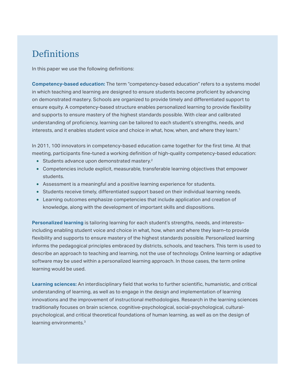## **Definitions**

In this paper we use the following definitions:

**[Competency-based education:](http://www.inacol.org/wp-content/uploads/2016/09/CompetencyWorks_ReachingTheTippingPoint_WhatIsCompetencyEducation.pdf)** The term "competency-based education" refers to a systems model in which teaching and learning are designed to ensure students become proficient by advancing on demonstrated mastery. Schools are organized to provide timely and differentiated support to ensure equity. A competency-based structure enables personalized learning to provide flexibility and supports to ensure mastery of the highest standards possible. With clear and calibrated understanding of proficiency, learning can be tailored to each student's strengths, needs, and interests, and it enables student voice and choice in what, how, when, and where they learn.<sup>1</sup>

In 2011, 100 innovators in competency-based education came together for the first time. At that meeting, participants fine-tuned a working definition of high-quality competency-based education:

- Students advance upon demonstrated mastery.<sup>2</sup>
- Competencies include explicit, measurable, transferable learning objectives that empower students.
- Assessment is a meaningful and a positive learning experience for students.
- Students receive timely, differentiated support based on their individual learning needs.
- Learning outcomes emphasize competencies that include application and creation of knowledge, along with the development of important skills and dispositions.

**[Personalized learning](http://www.inacol.org/news/what-is-personalized-learning/)** is tailoring learning for each student's strengths, needs, and interests– including enabling student voice and choice in what, how, when and where they learn–to provide flexibility and supports to ensure mastery of the highest standards possible. Personalized learning informs the pedagogical principles embraced by districts, schools, and teachers. This term is used to describe an approach to teaching and learning, not the use of technology. Online learning or adaptive software may be used within a personalized learning approach. In those cases, the term online learning would be used.

**Learning sciences:** An interdisciplinary field that works to further scientific, humanistic, and critical understanding of learning, as well as to engage in the design and implementation of learning innovations and the improvement of instructional methodologies. Research in the learning sciences traditionally focuses on brain science, cognitive-psychological, social-psychological, culturalpsychological, and critical theoretical foundations of human learning, as well as on the design of learning environments.<sup>3</sup>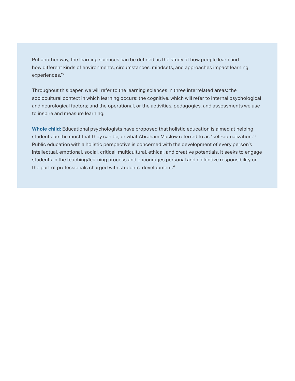Put another way, the learning sciences can be defined as the study of how people learn and how different kinds of environments, circumstances, mindsets, and approaches impact learning experiences."4

Throughout this paper, we will refer to the learning sciences in three interrelated areas: the sociocultural context in which learning occurs; the cognitive, which will refer to internal psychological and neurological factors; and the operational, or the activities, pedagogies, and assessments we use to inspire and measure learning.

**Whole child:** Educational psychologists have proposed that holistic education is aimed at helping students be the most that they can be, or what Abraham Maslow referred to as "self-actualization."4 Public education with a holistic perspective is concerned with the development of every person's intellectual, emotional, social, critical, multicultural, ethical, and creative potentials. It seeks to engage students in the teaching/learning process and encourages personal and collective responsibility on the part of professionals charged with students' development.<sup>6</sup>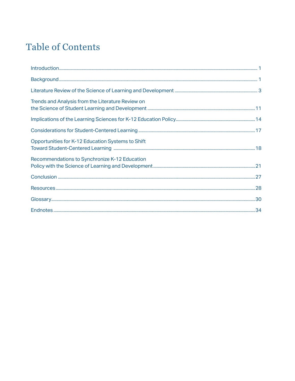## **Table of Contents**

| Trends and Analysis from the Literature Review on |  |
|---------------------------------------------------|--|
|                                                   |  |
|                                                   |  |
| Opportunities for K-12 Education Systems to Shift |  |
| Recommendations to Synchronize K-12 Education     |  |
|                                                   |  |
|                                                   |  |
|                                                   |  |
|                                                   |  |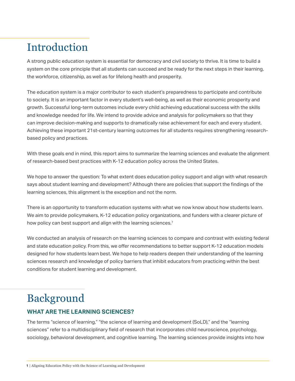# <span id="page-5-0"></span>Introduction

A strong public education system is essential for democracy and civil society to thrive. It is time to build a system on the core principle that all students can succeed and be ready for the next steps in their learning, the workforce, citizenship, as well as for lifelong health and prosperity.

The education system is a major contributor to each student's preparedness to participate and contribute to society. It is an important factor in every student's well-being, as well as their economic prosperity and growth. Successful long-term outcomes include every child achieving educational success with the skills and knowledge needed for life. We intend to provide advice and analysis for policymakers so that they can improve decision-making and supports to dramatically raise achievement for each and every student. Achieving these important 21st-century learning outcomes for all students requires strengthening researchbased policy and practices.

With these goals end in mind, this report aims to summarize the learning sciences and evaluate the alignment of research-based best practices with K-12 education policy across the United States.

We hope to answer the question: To what extent does education policy support and align with what research says about student learning and development? Although there are policies that support the findings of the learning sciences, this alignment is the exception and not the norm.

There is an opportunity to transform education systems with what we now know about how students learn. We aim to provide policymakers, K-12 education policy organizations, and funders with a clearer picture of how policy can best support and align with the learning sciences.<sup>7</sup>

We conducted an analysis of research on the learning sciences to compare and contrast with existing federal and state education policy. From this, we offer recommendations to better support K-12 education models designed for how students learn best. We hope to help readers deepen their understanding of the learning sciences research and knowledge of policy barriers that inhibit educators from practicing within the best conditions for student learning and development.

## Background

## **WHAT ARE THE LEARNING SCIENCES?**

The terms "science of learning," "the science of learning and development (SoLD)," and the "learning sciences" refer to a multidisciplinary field of research that incorporates child neuroscience, psychology, sociology, behavioral development, and cognitive learning. The learning sciences provide insights into how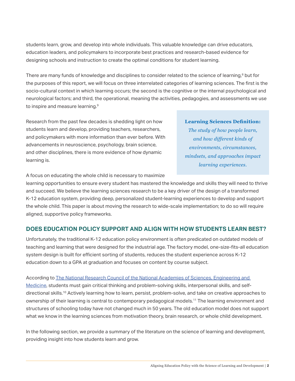<span id="page-6-0"></span>students learn, grow, and develop into whole individuals. This valuable knowledge can drive educators, education leaders, and policymakers to incorporate best practices and research-based evidence for designing schools and instruction to create the optimal conditions for student learning.

There are many funds of knowledge and disciplines to consider related to the science of learning,<sup>8</sup> but for the purposes of this report, we will focus on three interrelated categories of learning sciences. The first is the socio-cultural context in which learning occurs; the second is the cognitive or the internal psychological and neurological factors; and third, the operational, meaning the activities, pedagogies, and assessments we use to inspire and measure learning.9

Research from the past few decades is shedding light on how students learn and develop, providing teachers, researchers, and policymakers with more information than ever before. With advancements in neuroscience, psychology, brain science, and other disciplines, there is more evidence of how dynamic learning is.

#### **Learning Sciences Definition:**

*The study of how people learn, and how different kinds of environments, circumstances, mindsets, and approaches impact learning experiences.*

A focus on educating the whole child is necessary to maximize

learning opportunities to ensure every student has mastered the knowledge and skills they will need to thrive and succeed. We believe the learning sciences research to be a key driver of the design of a transformed K-12 education system, providing deep, personalized student-learning experiences to develop and support the whole child. This paper is about moving the research to wide-scale implementation; to do so will require aligned, supportive policy frameworks.

### **DOES EDUCATION POLICY SUPPORT AND ALIGN WITH HOW STUDENTS LEARN BEST?**

Unfortunately, the traditional K-12 education policy environment is often predicated on outdated models of teaching and learning that were designed for the industrial age. The factory model, one-size-fits-all education system design is built for efficient sorting of students, reduces the student experience across K-12 education down to a GPA at graduation and focuses on content by course subject.

According to [The National Research Council of the National Academies of Sciences, Engineering and](http://sites.nationalacademies.org/dbasse/bota/topics/dbasse_071496)  [Medicine](http://sites.nationalacademies.org/dbasse/bota/topics/dbasse_071496), students must gain critical thinking and problem-solving skills, interpersonal skills, and selfdirectional skills.10 Actively learning how to learn, persist, problem-solve, and take on creative approaches to ownership of their learning is central to contemporary pedagogical models.11 The learning environment and structures of schooling today have not changed much in 50 years. The old education model does not support what we know in the learning sciences from motivation theory, brain research, or whole child development.

In the following section, we provide a summary of the literature on the science of learning and development, providing insight into how students learn and grow.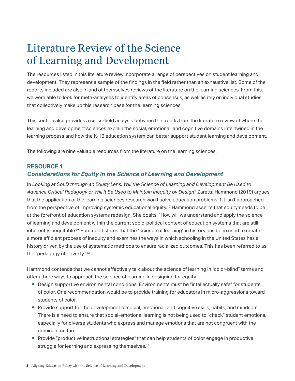## Literature Review of the Science of Learning and Development

The resources listed in this literature review incorporate a range of perspectives on student learning and development. They represent a sample of the findings in the field rather than an exhaustive list. Some of the reports included are also in and of themselves reviews of the literature on the learning sciences. From this, we were able to look for meta-analyses to identify areas of consensus, as well as rely on individual studies that collectively make up this research base for the learning sciences.

This section also provides a cross-field analysis between the trends from the literature review of where the learning and development sciences explain the social, emotional, and cognitive domains intertwined in the learning process and how the K-12 education system can better support student learning and development.

The following are nine valuable resources from the literature on the learning sciences.

## **RESOURCE 1** *Considerations for Equity in the Science of Learning and Development*

In *Looking at SoLD through an Equity Lens: Will the Science of Learning and Development Be Used to Advance Critical Pedagogy or Will It Be Used to Maintain Inequity by Design?* Zaretta Hammond (2019) argues that the application of the learning sciences research won't solve education problems if it isn't approached from the perspective of improving systemic educational equity.12 Hammond asserts that equity needs to be at the forefront of education systems redesign. She posits: "How will we understand and apply the science of learning and development within the current socio-political context of education systems that are still inherently inequitable?" Hammond states that the "science of learning" in history has been used to create a more efficient process of inequity and examines the ways in which schooling in the United States has a history driven by the use of systematic methods to ensure racialized outcomes. This has been referred to as the "pedagogy of poverty."13

Hammond contends that we cannot effectively talk about the science of learning in "color-blind" terms and offers three ways to approach the science of learning in designing for equity.

- » Design supportive environmental conditions. Environments must be "intellectually safe" for students of color. One recommendation would be to provide training for educators in micro-aggressions toward students of color.
- « Provide support for the development of social, emotional, and cognitive skills; habits; and mindsets. There is a need to ensure that social-emotional learning is not being used to "check" student emotions, especially for diverse students who express and manage emotions that are not congruent with the dominant culture.
- » Provide "productive instructional strategies" that can help students of color engage in productive struggle for learning and expressing themselves.<sup>14</sup>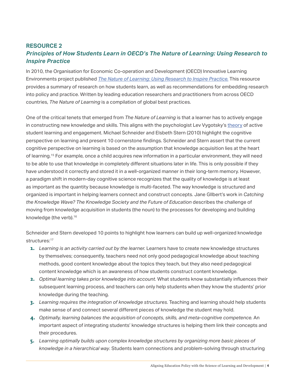## <span id="page-8-0"></span>**RESOURCE 2** *Principles of How Students Learn in OECD's The Nature of Learning: Using Research to Inspire Practice*

In 2010, the Organisation for Economic Co-operation and Development (OECD) Innovative Learning Environments project published *[The Nature of Learning: Using Research to Inspire Practice.](https://read.oecd-ilibrary.org/education/the-nature-of-learning_9789264086487-en#page1)* This resource provides a summary of research on how students learn, as well as recommendations for embedding research into policy and practice. Written by leading education researchers and practitioners from across OECD countries, *The Nature of Learning* is a compilation of global best practices.

One of the critical tenets that emerged from *The Nature of Learning* is that a learner has to actively engage in constructing new knowledge and skills. This aligns with the psychologist Lev Vygotsky's [theory](https://www.hup.harvard.edu/catalog.php?isbn=9780674576292&content=reviews) of active student learning and engagement. Michael Schneider and Elsbeth Stern (2010) highlight the cognitive perspective on learning and present 10 cornerstone findings. Schneider and Stern assert that the current cognitive perspective on learning is based on the assumption that knowledge acquisition lies at the heart of learning.15 For example, once a child acquires new information in a particular environment, they will need to be able to use that knowledge in completely different situations later in life. This is only possible if they have understood it correctly and stored it in a well-organized manner in their long-term memory. However, a paradigm shift in modern-day cognitive science recognizes that the quality of knowledge is at least as important as the quantity because knowledge is multi-faceted. The way knowledge is structured and organized is important in helping learners connect and construct concepts. Jane GIlbert's work in *Catching the Knowledge Wave? The Knowledge Society and the Future of Education* describes the challenge of moving from knowledge acquisition in students (the noun) to the processes for developing and building knowledge (the verb).16

Schneider and Stern developed 10 points to highlight how learners can build up well-organized knowledge structures:<sup>17</sup>

- 1. Learning is an activity carried out by the learner. Learners have to create new knowledge structures by themselves; consequently, teachers need not only good pedagogical knowledge about teaching methods, good content knowledge about the topics they teach, but they also need pedagogical content knowledge which is an awareness of how students construct content knowledge.
- 2. *Optimal learning takes prior knowledge into account.* What students know substantially influences their subsequent learning process, and teachers can only help students when they know the students' prior knowledge during the teaching.
- 3. *Learning requires the integration of knowledge structures.* Teaching and learning should help students make sense of and connect several different pieces of knowledge the student may hold.
- 4. *Optimally, learning balances the acquisition of concepts, skills, and meta-cognitive competence.* An important aspect of integrating students' knowledge structures is helping them link their concepts and their procedures.
- 5. *Learning optimally builds upon complex knowledge structures by organizing more basic pieces of knowledge in a hierarchical way*. Students learn connections and problem-solving through structuring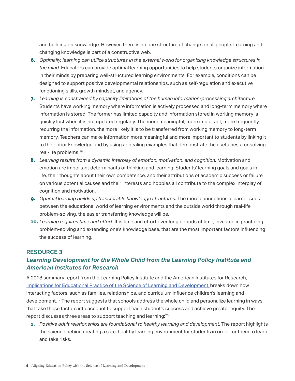<span id="page-9-0"></span>and building on knowledge. However, there is no one structure of change for all people. Learning and changing knowledge is part of a constructive web.

- 6. *Optimally, learning can utilize structures in the external world for organizing knowledge structures in the mind.* Educators can provide optimal learning opportunities to help students organize information in their minds by preparing well-structured learning environments. For example, conditions can be designed to support positive developmental relationships, such as self-regulation and executive functioning skills, growth mindset, and agency.
- 7. *Learning is constrained by capacity limitations of the human information-processing architecture.*  Students have working memory where information is actively processed and long-term memory where information is stored. The former has limited capacity and information stored in working memory is quickly lost when it is not updated regularly. The more meaningful, more important, more frequently recurring the information, the more likely it is to be transferred from working memory to long-term memory. Teachers can make information more meaningful and more important to students by linking it to their prior knowledge and by using appealing examples that demonstrate the usefulness for solving real-life problems.18
- 8. *Learning results from a dynamic interplay of emotion, motivation, and cognition.* Motivation and emotion are important determinants of thinking and learning. Students' learning goals and goals in life, their thoughts about their own competence, and their attributions of academic success or failure on various potential causes and their interests and hobbies all contribute to the complex interplay of cognition and motivation.
- 9. *Optimal learning builds up transferable knowledge structures.* The more connections a learner sees between the educational world of learning environments and the outside world through real-life problem-solving, the easier transferring knowledge will be.
- 10. *Learning requires time and effort.* It is time and effort over long periods of time, invested in practicing problem-solving and extending one's knowledge base, that are the most important factors influencing the success of learning.

### **RESOURCE 3**

## *Learning Development for the Whole Child from the Learning Policy Institute and American Institutes for Research*

A 2018 summary report from the Learning Policy Institute and the American Institutes for Research, [Implications for Educational Practice of the Science of Learning and Development,](https://www.tandfonline.com/doi/full/10.1080/10888691.2018.1537791) breaks down how interacting factors, such as families, relationships, and curriculum influence children's learning and development.19 The report suggests that schools address the whole child and personalize learning in ways that take these factors into account to support each student's success and achieve greater equity. The report discusses three areas to support teaching and learning:<sup>20</sup>

**1.** Positive adult relationships are foundational to healthy learning and development. The report highlights the science behind creating a safe, healthy learning environment for students in order for them to learn and take risks.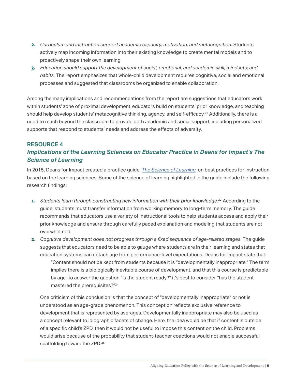- 2. *Curriculum and instruction support academic capacity, motivation, and metacognition.* Students actively map incoming information into their existing knowledge to create mental models and to proactively shape their own learning.
- 3. *Education should support the development of social, emotional, and academic skill; mindsets; and habits.* The report emphasizes that whole-child development requires cognitive, social and emotional processes and suggested that classrooms be organized to enable collaboration.

Among the many implications and recommendations from the report are suggestions that educators work within students' zone of proximal development, educators build on students' prior knowledge, and teaching should help develop students' metacognitive thinking, agency, and self-efficacy.<sup>21</sup> Additionally, there is a need to reach beyond the classroom to provide both academic and social support, including personalized supports that respond to students' needs and address the effects of adversity.

### **RESOURCE 4** *Implications of the Learning Sciences on Educator Practice in Deans for Impact's The Science of Learning*

In 2015, Deans for Impact created a practice guide, *[The Science of Learning](http://www.deansforimpact.org/wp-content/uploads/2016/12/The_Science_of_Learning.pdf)*, on best practices for instruction based on the learning sciences. Some of the science of learning highlighted in the guide include the following research findings:

- 1. Students learn through constructing new information with their prior knowledge.<sup>22</sup> According to the guide, students must transfer information from working memory to long-term memory. The guide recommends that educators use a variety of instructional tools to help students access and apply their prior knowledge and ensure through carefully paced explanation and modeling that students are not overwhelmed.
- 2. *Cognitive development does not progress through a fixed sequence of age-related stages*. The guide suggests that educators need to be able to gauge where students are in their learning and states that education systems can detach age from performance-level expectations. Deans for Impact state that: "Content should not be kept from students because it is "developmentally inappropriate." The term implies there is a biologically inevitable course of development, and that this course is predictable by age. To answer the question "is the student ready?" it's best to consider "has the student mastered the prerequisites?"24

One criticism of this conclusion is that the concept of "developmentally inappropriate" or not is understood as an age-grade phenomenon. This conception reflects exclusive reference to development that is represented by averages. Developmentally inappropriate may also be used as a concept relevant to idiographic facets of change. Here, the idea would be that if content is outside of a specific child's ZPD, then it would not be useful to impose this content on the child. Problems would arise because of the probability that student-teacher coactions would not enable successful scaffolding toward the ZPD.<sup>25</sup>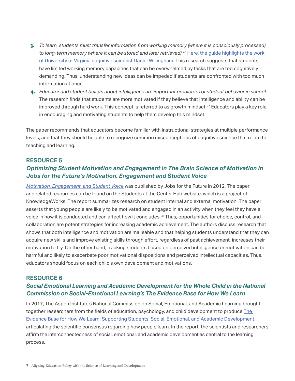- 3. *To learn, students must transfer information from working memory (where it is consciously processed) to long-term memory (where it can be stored and later retrieved)*. <sup>26</sup> [Here, the guide highlights the work](http://www.danielwillingham.com/about.html)  [of University of Virginia cognitive scientist Daniel Willingham.](http://www.danielwillingham.com/about.html) This research suggests that students have limited working memory capacities that can be overwhelmed by tasks that are too cognitively demanding. Thus, understanding new ideas can be impeded if students are confronted with too much information at once.
- 4. *Educator and student beliefs about intelligence are important predictors of student behavior in school*. The research finds that students are more motivated if they believe that intelligence and ability can be improved through hard work. This concept is referred to as growth mindset.<sup>27</sup> Educators play a key role in encouraging and motivating students to help them develop this mindset.

The paper recommends that educators become familiar with instructional strategies at multiple performance levels, and that they should be able to recognize common misconceptions of cognitive science that relate to teaching and learning.

### **RESOURCE 5**

### *Optimizing Student Motivation and Engagement in The Brain Science of Motivation in Jobs for the Future's Motivation, Engagement and Student Voice*

*[Motivation, Engagement, and Student Voice](https://studentsatthecenterhub.org/wp-content/uploads/2012/04/Exec-Toshalis-Nakkula-032312.pdf)* was published by Jobs for the Future in 2012. The paper and related resources can be found on the Students at the Center Hub website, which is a project of KnowledgeWorks. The report summarizes research on student internal and external motivation. The paper asserts that young people are likely to be motivated and engaged in an activity when they feel they have a voice in how it is conducted and can affect how it concludes.28 Thus, opportunities for choice, control, and collaboration are potent strategies for increasing academic achievement. The authors discuss research that shows that both intelligence and motivation are malleable and that helping students understand that they can acquire new skills and improve existing skills through effort, regardless of past achievement, increases their motivation to try. On the other hand, tracking students based on perceived intelligence or motivation can be harmful and likely to exacerbate poor motivational dispositions and perceived intellectual capacities. Thus, educators should focus on each child's own development and motivations.

### **RESOURCE 6**

### *Social Emotional Learning and Academic Development for the Whole Child in the National Commission on Social-Emotional Learning's The Evidence Base for How We Learn*

In 2017, The Aspen Institute's National Commission on Social, Emotional, and Academic Learning brought together researchers from the fields of education, psychology, and child development to produce The [Evidence Base for How We Learn: Supporting Students' Social, Emotional, and Academic Development,](https://www.aspeninstitute.org/publications/evidence-base-learn/) articulating the scientific consensus regarding how people learn. In the report, the scientists and researchers affirm the interconnectedness of social, emotional, and academic development as central to the learning process.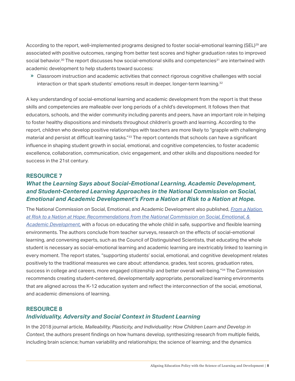<span id="page-12-0"></span>According to the report, well-implemented programs designed to foster social-emotional learning (SEL)<sup>29</sup> are associated with positive outcomes, ranging from better test scores and higher graduation rates to improved social behavior.<sup>30</sup> The report discusses how social-emotional skills and competencies<sup>31</sup> are intertwined with academic development to help students toward success:

» Classroom instruction and academic activities that connect rigorous cognitive challenges with social interaction or that spark students' emotions result in deeper, longer-term learning. $32$ 

A key understanding of social-emotional learning and academic development from the report is that these skills and competencies are malleable over long periods of a child's development. It follows then that educators, schools, and the wider community including parents and peers, have an important role in helping to foster healthy dispositions and mindsets throughout children's growth and learning. According to the report, children who develop positive relationships with teachers are more likely to "grapple with challenging material and persist at difficult learning tasks."<sup>33</sup> The report contends that schools can have a significant influence in shaping student growth in social, emotional, and cognitive competencies, to foster academic excellence, collaboration, communication, civic engagement, and other skills and dispositions needed for success in the 21st century.

### **RESOURCE 7**

## *What the Learning Says about Social-Emotional Learning, Academic Development, and Student-Centered Learning Approaches in the National Commission on Social, Emotional and Academic Development's From a Nation at Risk to a Nation at Hope.*

The National Commission on Social, Emotional, and Academic Development also published, *[From a Nation](http://nationathope.org/)  [at Risk to a Nation at Hope: Recommendations from the National Commission on Social, Emotional, &](http://nationathope.org/)  [Academic Development,](http://nationathope.org/)* with a focus on educating the whole child in safe, supportive and flexible learning environments. The authors conclude from teacher surveys, research on the effects of social-emotional learning, and convening experts, such as the Council of Distinguished Scientists, that educating the whole student is necessary as social-emotional learning and academic learning are inextricably linked to learning in every moment. The report states, "supporting students' social, emotional, and cognitive development relates positively to the traditional measures we care about: attendance, grades, test scores, graduation rates, success in college and careers, more engaged citizenship and better overall well-being."<sup>34</sup> The Commission recommends creating student-centered, developmentally appropriate, personalized learning environments that are aligned across the K-12 education system and reflect the interconnection of the social, emotional, and academic dimensions of learning.

## **RESOURCE 8** *Individuality, Adversity and Social Context in Student Learning*

In the 2018 journal article, *Malleability, Plasticity, and Individuality: How Children Learn and Develop in Context,* the authors present findings on how humans develop, synthesizing research from multiple fields, including brain science; human variability and relationships; the science of learning; and the dynamics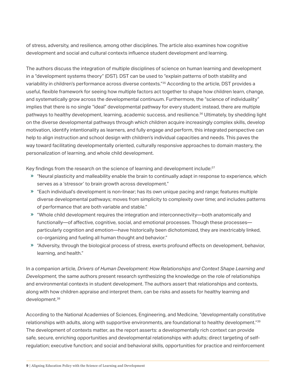of stress, adversity, and resilience, among other disciplines. The article also examines how cognitive development and social and cultural contexts influence student development and learning.

The authors discuss the integration of multiple disciplines of science on human learning and development in a "development systems theory" (DST). DST can be used to "explain patterns of both stability and variability in children's performance across diverse contexts."<sup>35</sup> According to the article, DST provides a useful, flexible framework for seeing how multiple factors act together to shape how children learn, change, and systematically grow across the developmental continuum. Furthermore, the "science of individuality" implies that there is no single "ideal" developmental pathway for every student; instead, there are multiple pathways to healthy development, learning, academic success, and resilience.36 Ultimately, by shedding light on the diverse developmental pathways through which children acquire increasingly complex skills, develop motivation, identify intentionality as learners, and fully engage and perform, this integrated perspective can help to align instruction and school design with children's individual capacities and needs. This paves the way toward facilitating developmentally oriented, culturally responsive approaches to domain mastery, the personalization of learning, and whole child development.

Key findings from the research on the science of learning and development include: $37$ 

- « "Neural plasticity and malleability enable the brain to continually adapt in response to experience, which serves as a 'stressor' to brain growth across development."
- « "Each individual's development is non-linear; has its own unique pacing and range; features multiple diverse developmental pathways; moves from simplicity to complexity over time; and includes patterns of performance that are both variable and stable."
- « "Whole child development requires the integration and interconnectivity—both anatomically and functionally—of affective, cognitive, social, and emotional processes. Though these processes particularly cognition and emotion—have historically been dichotomized, they are inextricably linked, co-organizing and fueling all human thought and behavior."
- « "Adversity, through the biological process of stress, exerts profound effects on development, behavior, learning, and health."

In a companion article, *Drivers of Human Development: How Relationships and Context Shape Learning and Development,* the same authors present research synthesizing the knowledge on the role of relationships and environmental contexts in student development. The authors assert that relationships and contexts, along with how children appraise and interpret them, can be risks and assets for healthy learning and development.<sup>38</sup>

According to the National Academies of Sciences, Engineering, and Medicine, "developmentally constitutive relationships with adults, along with supportive environments, are foundational to healthy development."39 The development of contexts matter, as the report asserts: a developmentally rich context can provide safe, secure, enriching opportunities and developmental relationships with adults; direct targeting of selfregulation; executive function; and social and behavioral skills, opportunities for practice and reinforcement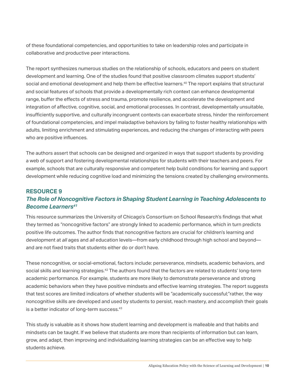of these foundational competencies, and opportunities to take on leadership roles and participate in collaborative and productive peer interactions.

The report synthesizes numerous studies on the relationship of schools, educators and peers on student development and learning. One of the studies found that positive classroom climates support students' social and emotional development and help them be effective learners.<sup>40</sup> The report explains that structural and social features of schools that provide a developmentally rich context can enhance developmental range, buffer the effects of stress and trauma, promote resilience, and accelerate the development and integration of affective, cognitive, social, and emotional processes. In contrast, developmentally unsuitable, insufficiently supportive, and culturally incongruent contexts can exacerbate stress, hinder the reinforcement of foundational competencies, and impel maladaptive behaviors by failing to foster healthy relationships with adults, limiting enrichment and stimulating experiences, and reducing the changes of interacting with peers who are positive influences.

The authors assert that schools can be designed and organized in ways that support students by providing a web of support and fostering developmental relationships for students with their teachers and peers. For example, schools that are culturally responsive and competent help build conditions for learning and support development while reducing cognitive load and minimizing the tensions created by challenging environments.

## **RESOURCE 9** *The Role of Noncognitive Factors in Shaping Student Learning in Teaching Adolescents to Become Learners41*

This resource summarizes the University of Chicago's Consortium on School Research's findings that what they termed as "noncognitive factors" are strongly linked to academic performance, which in turn predicts positive life outcomes. The author finds that noncognitive factors are crucial for children's learning and development at *all* ages and *all* education levels—from early childhood through high school and beyond and are not fixed traits that students either do or don't have.

These noncognitive, or social-emotional, factors include: perseverance, mindsets, academic behaviors, and social skills and learning strategies.<sup>42</sup> The authors found that the factors are related to students' long-term academic performance. For example, students are more likely to demonstrate perseverance and strong academic behaviors when they have positive mindsets and effective learning strategies. The report suggests that test scores are limited indicators of whether students will be "academically successful;"rather, the way noncognitive skills are developed and used by students to persist, reach mastery, and accomplish their goals is a better indicator of long-term success.<sup>43</sup>

This study is valuable as it shows how student learning and development is malleable and that habits and mindsets can be taught. If we believe that students are more than recipients of information but can learn, grow, and adapt, then improving and individualizing learning strategies can be an effective way to help students achieve.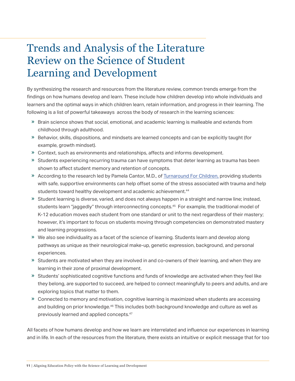## Trends and Analysis of the Literature Review on the Science of Student Learning and Development

By synthesizing the research and resources from the literature review, common trends emerge from the findings on how humans develop and learn. These include how children develop into whole individuals and learners and the optimal ways in which children learn, retain information, and progress in their learning. The following is a list of powerful takeaways across the body of research in the learning sciences:

- » Brain science shows that social, emotional, and academic learning is malleable and extends from childhood through adulthood.
- » Behavior, skills, dispositions, and mindsets are learned concepts and can be explicitly taught (for example, growth mindset).
- » Context, such as environments and relationships, affects and informs development.
- » Students experiencing recurring trauma can have symptoms that deter learning as trauma has been shown to affect student memory and retention of concepts.
- » According to the research led by Pamela Cantor, M.D., of [Turnaround For Children,](https://www.turnaroundusa.org/) providing students with safe, supportive environments can help offset some of the stress associated with trauma and help students toward healthy development and academic achievement.<sup>44</sup>
- » Student learning is diverse, varied, and does not always happen in a straight and narrow line; instead, students learn "jaggedly" through interconnecting concepts.<sup>45</sup> For example, the traditional model of K-12 education moves each student from one standard or unit to the next regardless of their mastery; however, it's important to focus on students moving through competencies on demonstrated mastery and learning progressions.
- » We also see individuality as a facet of the science of learning. Students learn and develop along pathways as unique as their neurological make-up, genetic expression, background, and personal experiences.
- » Students are motivated when they are involved in and co-owners of their learning, and when they are learning in their zone of proximal development.
- » Students' sophisticated cognitive functions and funds of knowledge are activated when they feel like they belong, are supported to succeed, are helped to connect meaningfully to peers and adults, and are exploring topics that matter to them.
- » Connected to memory and motivation, cognitive learning is maximized when students are accessing and building on prior knowledge.<sup>46</sup> This includes both background knowledge and culture as well as previously learned and applied concepts.47

All facets of how humans develop and how we learn are interrelated and influence our experiences in learning and in life. In each of the resources from the literature, there exists an intuitive or explicit message that for too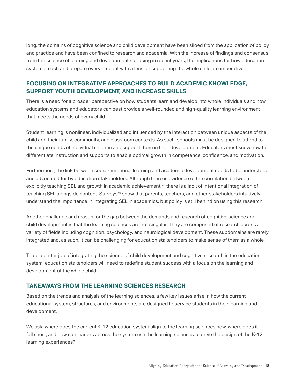long, the domains of cognitive science and child development have been siloed from the application of policy and practice and have been confined to research and academia. With the increase of findings and consensus from the science of learning and development surfacing in recent years, the implications for how education systems teach and prepare every student with a lens on supporting the whole child are imperative.

### **FOCUSING ON INTEGRATIVE APPROACHES TO BUILD ACADEMIC KNOWLEDGE, SUPPORT YOUTH DEVELOPMENT, AND INCREASE SKILLS**

There is a need for a broader perspective on how students learn and develop into whole individuals and how education systems and educators can best provide a well-rounded and high-quality learning environment that meets the needs of every child.

Student learning is nonlinear, individualized and influenced by the interaction between unique aspects of the child and their family, community, and classroom contexts. As such, schools must be designed to attend to the unique needs of individual children and support them in their development. Educators must know how to differentiate instruction and supports to enable optimal growth in competence, confidence, and motivation.

Furthermore, the link between social-emotional learning and academic development needs to be understood and advocated for by education stakeholders. Although there is evidence of the correlation between explicitly teaching SEL and growth in academic achievement,<sup>48</sup> there is a lack of intentional integration of teaching SEL alongside content. Surveys<sup>49</sup> show that parents, teachers, and other stakeholders intuitively understand the importance in integrating SEL in academics, but policy is still behind on using this research.

Another challenge and reason for the gap between the demands and research of cognitive science and child development is that the learning sciences are not singular. They are comprised of research across a variety of fields including cognition, psychology, and neurological development. These subdomains are rarely integrated and, as such, it can be challenging for education stakeholders to make sense of them as a whole.

To do a better job of integrating the science of child development and cognitive research in the education system, education stakeholders will need to redefine student success with a focus on the learning and development of the whole child.

### **TAKEAWAYS FROM THE LEARNING SCIENCES RESEARCH**

Based on the trends and analysis of the learning sciences, a few key issues arise in how the current educational system, structures, and environments are designed to service students in their learning and development.

We ask: where does the current K-12 education system align to the learning sciences now, where does it fall short, and how can leaders across the system use the learning sciences to drive the design of the K-12 learning experiences?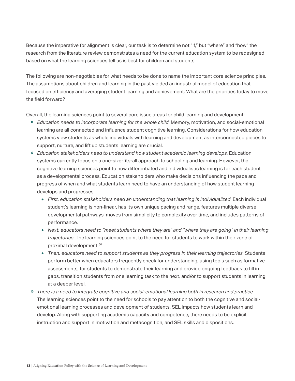Because the imperative for alignment is clear, our task is to determine not "if," but "where" and "how" the research from the literature review demonstrates a need for the current education system to be redesigned based on what the learning sciences tell us is best for children and students.

The following are non-negotiables for what needs to be done to name the important core science principles. The assumptions about children and learning in the past yielded an industrial model of education that focused on efficiency and averaging student learning and achievement. What are the priorities today to move the field forward?

Overall, the learning sciences point to several core issue areas for child learning and development:

- « *Education needs to incorporate learning for the whole child.* Memory, motivation, and social-emotional learning are all connected and influence student cognitive learning. Considerations for how education systems view students as whole individuals with learning and development as interconnected pieces to support, nurture, and lift up students learning are crucial.
- « *Education stakeholders need to understand how student academic learning develops.* Education systems currently focus on a one-size-fits-all approach to schooling and learning. However, the cognitive learning sciences point to how differentiated and individualistic learning is for each student as a developmental process. Education stakeholders who make decisions influencing the pace and progress of when and what students learn need to have an understanding of how student learning develops and progresses.
	- First, education stakeholders need an understanding that learning is individualized. Each individual student's learning is non-linear, has its own unique pacing and range, features multiple diverse developmental pathways, moves from simplicity to complexity over time, and includes patterns of performance.
	- *Next, educators need to "meet students where they are" and "where they are going" in their learning trajectories.* The learning sciences point to the need for students to work within their zone of proximal development.50
	- *Then, educators need to support students as they progress in their learning trajectories.* Students perform better when educators frequently check for understanding, using tools such as formative assessments, for students to demonstrate their learning and provide ongoing feedback to fill in gaps, transition students from one learning task to the next, and/or to support students in learning at a deeper level.
- « *There is a need to integrate cognitive and social-emotional learning both in research and practice.*  The learning sciences point to the need for schools to pay attention to both the cognitive and socialemotional learning processes and development of students. SEL impacts how students learn and develop. Along with supporting academic capacity and competence, there needs to be explicit instruction and support in motivation and metacognition, and SEL skills and dispositions.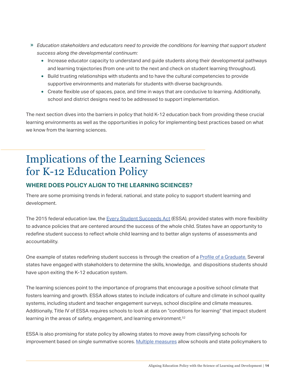- « *Education stakeholders and educators need to provide the conditions for learning that support student success along the developmental continuum:* 
	- Increase educator capacity to understand and guide students along their developmental pathways and learning trajectories (from one unit to the next and check on student learning throughout).
	- Build trusting relationships with students and to have the cultural competencies to provide supportive environments and materials for students with diverse backgrounds.
	- Create flexible use of spaces, pace, and time in ways that are conducive to learning. Additionally, school and district designs need to be addressed to support implementation.

The next section dives into the barriers in policy that hold K-12 education back from providing these crucial learning environments as well as the opportunities in policy for implementing best practices based on what we know from the learning sciences.

## Implications of the Learning Sciences for K-12 Education Policy

## **WHERE DOES POLICY ALIGN TO THE LEARNING SCIENCES?**

There are some promising trends in federal, national, and state policy to support student learning and development.

The 2015 federal education law, the [Every Student Succeeds Act](https://legcounsel.house.gov/Comps/Elementary%20And%20Secondary%20Education%20Act%20Of%201965.pdf) (ESSA), provided states with more flexibility to advance policies that are centered around the success of the whole child. States have an opportunity to redefine student success to reflect whole child learning and to better align systems of assessments and accountability.

One example of states redefining student success is through the creation of a [Profile of a Graduate.](https://www.inacol.org/resource/redefining-student-success-profile-graduate/) Several states have engaged with stakeholders to determine the skills, knowledge, and dispositions students should have upon exiting the K-12 education system.

The learning sciences point to the importance of programs that encourage a positive school climate that fosters learning and growth. ESSA allows states to include indicators of culture and climate in school quality systems, including student and teacher engagement surveys, school discipline and climate measures. Additionally, Title IV of ESSA requires schools to look at data on "conditions for learning" that impact student learning in the areas of safety, engagement, and learning environment.<sup>52</sup>

ESSA is also promising for state policy by allowing states to move away from classifying schools for improvement based on single summative scores. [Multiple measures](https://www.inacol.org/resource/rethinking-state-accountability-support-personalized-competency-based-learning-k-12-education/) allow schools and state policymakers to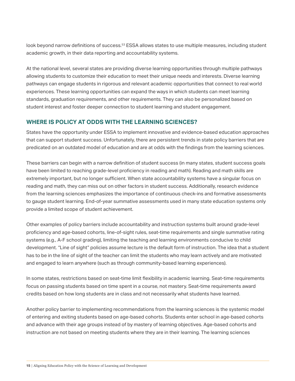look beyond narrow definitions of success.<sup>53</sup> ESSA allows states to use multiple measures, including student academic growth, in their data reporting and accountability systems.

At the national level, several states are providing diverse learning opportunities through multiple pathways allowing students to customize their education to meet their unique needs and interests. Diverse learning pathways can engage students in rigorous and relevant academic opportunities that connect to real world experiences. These learning opportunities can expand the ways in which students can meet learning standards, graduation requirements, and other requirements. They can also be personalized based on student interest and foster deeper connection to student learning and student engagement.

### **WHERE IS POLICY AT ODDS WITH THE LEARNING SCIENCES?**

States have the opportunity under ESSA to implement innovative and evidence-based education approaches that can support student success. Unfortunately, there are persistent trends in state policy barriers that are predicated on an outdated model of education and are at odds with the findings from the learning sciences.

These barriers can begin with a narrow definition of student success (in many states, student success goals have been limited to reaching grade-level proficiency in reading and math). Reading and math skills are extremely important, but no longer sufficient. When state accountability systems have a singular focus on reading and math, they can miss out on other factors in student success. Additionally, research evidence from the learning sciences emphasizes the importance of continuous check-ins and formative assessments to gauge student learning. End-of-year summative assessments used in many state education systems only provide a limited scope of student achievement.

Other examples of policy barriers include accountability and instruction systems built around grade-level proficiency and age-based cohorts, line-of-sight rules, seat-time requirements and single summative rating systems (e.g., A-F school grading), limiting the teaching and learning environments conducive to child development. "Line of sight" policies assume lecture is the default form of instruction. The idea that a student has to be in the line of sight of the teacher can limit the students who may learn actively and are motivated and engaged to learn anywhere (such as through community-based learning experiences).

In some states, restrictions based on seat-time limit flexibility in academic learning. Seat-time requirements focus on passing students based on time spent in a course, not mastery. Seat-time requirements award credits based on how long students are in class and not necessarily what students have learned.

Another policy barrier to implementing recommendations from the learning sciences is the systemic model of entering and exiting students based on age-based cohorts. Students enter school in age-based cohorts and advance with their age groups instead of by mastery of learning objectives. Age-based cohorts and instruction are not based on meeting students where they are in their learning. The learning sciences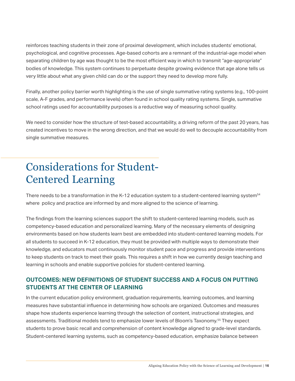reinforces teaching students in their zone of proximal development, which includes students' emotional, psychological, and cognitive processes. Age-based cohorts are a remnant of the industrial-age model when separating children by age was thought to be the most efficient way in which to transmit "age-appropriate" bodies of knowledge. This system continues to perpetuate despite growing evidence that age alone tells us very little about what any given child can do or the support they need to develop more fully.

Finally, another policy barrier worth highlighting is the use of single summative rating systems (e.g., 100-point scale, A-F grades, and performance levels) often found in school quality rating systems. Single, summative school ratings used for accountability purposes is a reductive way of measuring school quality.

We need to consider how the structure of test-based accountability, a driving reform of the past 20 years, has created incentives to move in the wrong direction, and that we would do well to decouple accountability from single summative measures.

# Considerations for Student-Centered Learning

There needs to be a transformation in the K-12 education system to a student-centered learning system<sup>54</sup> where policy and practice are informed by and more aligned to the science of learning.

The findings from the learning sciences support the shift to student-centered learning models, such as competency-based education and personalized learning. Many of the necessary elements of designing environments based on how students learn best are embedded into student-centered learning models. For all students to succeed in K-12 education, they must be provided with multiple ways to demonstrate their knowledge, and educators must continuously monitor student pace and progress and provide interventions to keep students on track to meet their goals. This requires a shift in how we currently design teaching and learning in schools and enable supportive policies for student-centered learning.

## **OUTCOMES: NEW DEFINITIONS OF STUDENT SUCCESS AND A FOCUS ON PUTTING STUDENTS AT THE CENTER OF LEARNING**

In the current education policy environment, graduation requirements, learning outcomes, and learning measures have substantial influence in determining how schools are organized. Outcomes and measures shape how students experience learning through the selection of content, instructional strategies, and assessments. Traditional models tend to emphasize lower levels of Bloom's Taxonomy.55 They expect students to prove basic recall and comprehension of content knowledge aligned to grade-level standards. Student-centered learning systems, such as competency-based education, emphasize balance between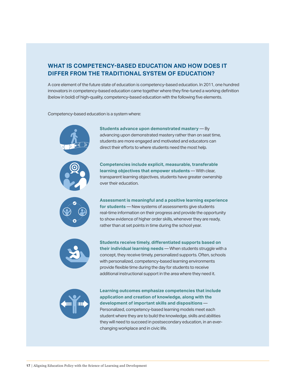## **WHAT IS COMPETENCY-BASED EDUCATION AND HOW DOES IT DIFFER FROM THE TRADITIONAL SYSTEM OF EDUCATION?**

A core element of the future state of education is competency-based education. In 2011, one hundred innovators in competency-based education came together where they fine-tuned a working definition (below in bold) of high-quality, competency-based education with the following five elements.

Competency-based education is a system where:



• **Students advance upon demonstrated mastery** — By advancing upon demonstrated mastery rather than on seat time, students are more engaged and motivated and educators can direct their efforts to where students need the most help.

• **Competencies include explicit, measurable, transferable learning objectives that empower students** — With clear, transparent learning objectives, students have greater ownership over their education.

• **Assessment is meaningful and a positive learning experience for students** — New systems of assessments give students real-time information on their progress and provide the opportunity to show evidence of higher order skills, whenever they are ready, rather than at set points in time during the school year.



• **Students receive timely, differentiated supports based on their individual learning needs** — When students struggle with a concept, they receive timely, personalized supports. Often, schools with personalized, competency-based learning environments provide flexible time during the day for students to receive additional instructional support in the area where they need it.



• **Learning outcomes emphasize competencies that include application and creation of knowledge, along with the development of important skills and dispositions** — Personalized, competency-based learning models meet each student where they are to build the knowledge, skills and abilities they will need to succeed in postsecondary education, in an everchanging workplace and in civic life.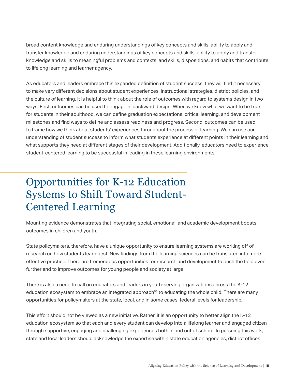broad content knowledge and enduring understandings of key concepts and skills; ability to apply and transfer knowledge and enduring understandings of key concepts and skills; ability to apply and transfer knowledge and skills to meaningful problems and contexts; and skills, dispositions, and habits that contribute to lifelong learning and learner agency.

As educators and leaders embrace this expanded definition of student success, they will find it necessary to make very different decisions about student experiences, instructional strategies, district policies, and the culture of learning. It is helpful to think about the role of outcomes with regard to systems design in two ways: First, outcomes can be used to engage in backward design. When we know what we want to be true for students in their adulthood, we can define graduation expectations, critical learning, and development milestones and find ways to define and assess readiness and progress. Second, outcomes can be used to frame how we think about students' experiences throughout the process of learning. We can use our understanding of student success to inform what students experience at different points in their learning and what supports they need at different stages of their development. Additionally, educators need to experience student-centered learning to be successful in leading in these learning environments.

# Opportunities for K-12 Education Systems to Shift Toward Student-Centered Learning

Mounting evidence demonstrates that integrating social, emotional, and academic development boosts outcomes in children and youth.

State policymakers, therefore, have a unique opportunity to ensure learning systems are working off of research on how students learn best. New findings from the learning sciences can be translated into more effective practice. There are tremendous opportunities for research and development to push the field even further and to improve outcomes for young people and society at large.

There is also a need to call on educators and leaders in youth-serving organizations across the K-12 education ecosystem to embrace an integrated approach<sup>56</sup> to educating the whole child. There are many opportunities for policymakers at the state, local, and in some cases, federal levels for leadership.

This effort should not be viewed as a new initiative. Rather, it is an opportunity to better align the K-12 education ecosystem so that each and every student can develop into a lifelong learner and engaged citizen through supportive, engaging and challenging experiences both in and out of school. In pursuing this work, state and local leaders should acknowledge the expertise within state education agencies, district offices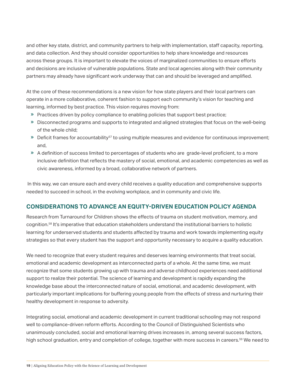and other key state, district, and community partners to help with implementation, staff capacity, reporting, and data collection. And they should consider opportunities to help share knowledge and resources across these groups. It is important to elevate the voices of marginalized communities to ensure efforts and decisions are inclusive of vulnerable populations. State and local agencies along with their community partners may already have significant work underway that can and should be leveraged and amplified.

At the core of these recommendations is a new vision for how state players and their local partners can operate in a more collaborative, coherent fashion to support each community's vision for teaching and learning, informed by best practice. This vision requires moving from:

- » Practices driven by policy compliance to enabling policies that support best practice;
- » Disconnected programs and supports to integrated and aligned strategies that focus on the well-being of the whole child;
- » Deficit frames for accountability<sup>57</sup> to using multiple measures and evidence for continuous improvement; and,
- » A definition of success limited to percentages of students who are grade-level proficient, to a more inclusive definition that reflects the mastery of social, emotional, and academic competencies as well as civic awareness, informed by a broad, collaborative network of partners.

 In this way, we can ensure each and every child receives a quality education and comprehensive supports needed to succeed in school, in the evolving workplace, and in community and civic life.

### **CONSIDERATIONS TO ADVANCE AN EQUITY-DRIVEN EDUCATION POLICY AGENDA**

Research from Turnaround for Children shows the effects of trauma on student motivation, memory, and cognition.58 It's imperative that education stakeholders understand the institutional barriers to holistic learning for underserved students and students affected by trauma and work towards implementing equity strategies so that every student has the support and opportunity necessary to acquire a quality education.

We need to recognize that every student requires and deserves learning environments that treat social, emotional and academic development as interconnected parts of a whole. At the same time, we must recognize that some students growing up with trauma and adverse childhood experiences need additional support to realize their potential. The science of learning and development is rapidly expanding the knowledge base about the interconnected nature of social, emotional, and academic development, with particularly important implications for buffering young people from the effects of stress and nurturing their healthy development in response to adversity.

Integrating social, emotional and academic development in current traditional schooling may not respond well to compliance-driven reform efforts. According to the Council of Distinguished Scientists who unanimously concluded, social and emotional learning drives increases in, among several success factors, high school graduation, entry and completion of college, together with more success in careers.<sup>59</sup> We need to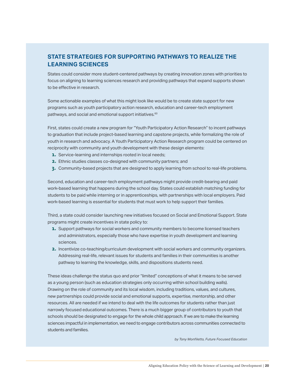## **STATE STRATEGIES FOR SUPPORTING PATHWAYS TO REALIZE THE LEARNING SCIENCES**

States could consider more student-centered pathways by creating innovation zones with priorities to focus on aligning to learning sciences research and providing pathways that expand supports shown to be effective in research.

Some actionable examples of what this might look like would be to create state support for new programs such as youth participatory action research, education and career-tech employment pathways, and social and emotional support initiatives.<sup>60</sup>

First, states could create a new program for "Youth Participatory Action Research" to incent pathways to graduation that include project-based learning and capstone projects, while formalizing the role of youth in research and advocacy. A Youth Participatory Action Research program could be centered on reciprocity with community and youth development with these design elements:

- 1. Service-learning and internships rooted in local needs;
- 2. Ethnic studies classes co-designed with community partners; and
- 3. Community-based projects that are designed to apply learning from school to real-life problems.

Second, education and career-tech employment pathways might provide credit-bearing and paid work-based learning that happens during the school day. States could establish matching funding for students to be paid while interning or in apprenticeships, with partnerships with local employers. Paid work-based learning is essential for students that must work to help support their families.

Third, a state could consider launching new initiatives focused on Social and Emotional Support. State programs might create incentives in state policy to:

- **1.** Support pathways for social workers and community members to become licensed teachers and administrators, especially those who have expertise in youth development and learning sciences.
- 2. Incentivize co-teaching/curriculum development with social workers and community organizers. Addressing real-life, relevant issues for students and families in their communities is another pathway to learning the knowledge, skills, and dispositions students need.

These ideas challenge the status quo and prior "limited" conceptions of what it means to be served as a young person (such as education strategies only occurring within school building walls). Drawing on the role of community and its local wisdom, including traditions, values, and cultures, new partnerships could provide social and emotional supports, expertise, mentorship, and other resources. All are needed if we intend to deal with the life outcomes for students rather than just narrowly focused educational outcomes. There is a much bigger group of contributors to youth that schools should be designated to engage for the whole child approach. If we are to make the learning sciences impactful in implementation, we need to engage contributors across communities connected to students and families.

*by Tony Monfiletto, Future Focused Education*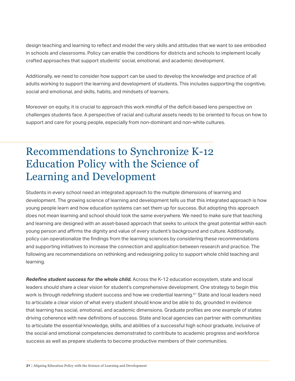design teaching and learning to reflect and model the very skills and attitudes that we want to see embodied in schools and classrooms. Policy can enable the conditions for districts and schools to implement locally crafted approaches that support students' social, emotional, and academic development.

Additionally, we need to consider how support can be used to develop the knowledge and practice of all adults working to support the learning and development of students. This includes supporting the cognitive, social and emotional, and skills, habits, and mindsets of learners.

Moreover on equity, it is crucial to approach this work mindful of the deficit-based lens perspective on challenges students face. A perspective of racial and cultural assets needs to be oriented to focus on how to support and care for young people, especially from non-dominant and non-white cultures.

## Recommendations to Synchronize K-12 Education Policy with the Science of Learning and Development

Students in every school need an integrated approach to the multiple dimensions of learning and development. The growing science of learning and development tells us that this integrated approach is how young people learn and how education systems can set them up for success. But adopting this approach does not mean learning and school should look the same everywhere. We need to make sure that teaching and learning are designed with an asset-based approach that seeks to unlock the great potential within each young person and affirms the dignity and value of every student's background and culture. Additionally, policy can operationalize the findings from the learning sciences by considering these recommendations and supporting initiatives to increase the connection and application between research and practice. The following are recommendations on rethinking and redesigning policy to support whole child teaching and learning.

*Redefine student success for the whole child.* Across the K-12 education ecosystem, state and local leaders should share a clear vision for student's comprehensive development. One strategy to begin this work is through redefining student success and how we credential learning.<sup>61</sup> State and local leaders need to articulate a clear vision of what every student should know and be able to do, grounded in evidence that learning has social, emotional, and academic dimensions. Graduate profiles are one example of states driving coherence with new definitions of success. State and local agencies can partner with communities to articulate the essential knowledge, skills, and abilities of a successful high school graduate, inclusive of the social and emotional competencies demonstrated to contribute to academic progress and workforce success as well as prepare students to become productive members of their communities.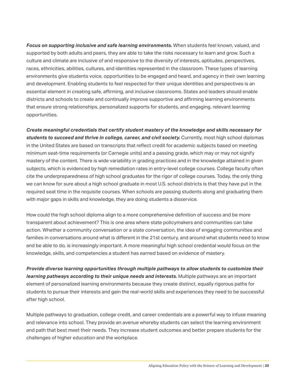Focus on supporting inclusive and safe learning environments. When students feel known, valued, and supported by both adults and peers, they are able to take the risks necessary to learn and grow. Such a culture and climate are inclusive of and responsive to the diversity of interests, aptitudes, perspectives, races, ethnicities, abilities, cultures, and identities represented in the classroom. These types of learning environments give students voice, opportunities to be engaged and heard, and agency in their own learning and development. Enabling students to feel respected for their unique identities and perspectives is an essential element in creating safe, affirming, and inclusive classrooms. States and leaders should enable districts and schools to create and continually improve supportive and affirming learning environments that ensure strong relationships, personalized supports for students, and engaging, relevant learning opportunities.

*Create meaningful credentials that certify student mastery of the knowledge and skills necessary for*  students to succeed and thrive in college, career, and civil society. Currently, most high school diplomas in the United States are based on transcripts that reflect credit for academic subjects based on meeting minimum seat-time requirements (or Carnegie units) and a passing grade, which may or may not signify mastery of the content. There is wide variability in grading practices and in the knowledge attained in given subjects, which is evidenced by high remediation rates in entry-level college courses. College faculty often cite the underpreparedness of high school graduates for the rigor of college courses. Today, the only thing we can know for sure about a high school graduate in most U.S. school districts is that they have put in the required seat time in the requisite courses. When schools are passing students along and graduating them with major gaps in skills and knowledge, they are doing students a disservice.

How could the high school diploma align to a more comprehensive definition of success and be more transparent about achievement? This is one area where state policymakers and communities can take action. Whether a community conversation or a state conversation, the idea of engaging communities and families in conversations around what is different in the 21st century, and around what students need to know and be able to do, is increasingly important. A more meaningful high school credential would focus on the knowledge, skills, and competencies a student has earned based on evidence of mastery.

*Provide diverse learning opportunities through multiple pathways to allow students to customize their learning pathways according to their unique needs and interests.* Multiple pathways are an important element of personalized learning environments because they create distinct, equally rigorous paths for students to pursue their interests and gain the real-world skills and experiences they need to be successful after high school.

Multiple pathways to graduation, college credit, and career credentials are a powerful way to infuse meaning and relevance into school. They provide an avenue whereby students can select the learning environment and path that best meet their needs. They increase student outcomes and better prepare students for the challenges of higher education and the workplace.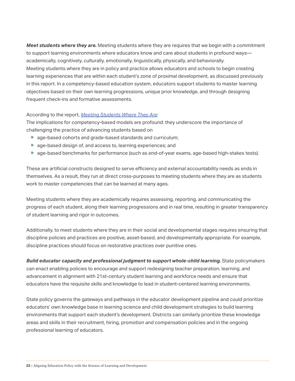*Meet students where they are.* Meeting students where they are requires that we begin with a commitment to support learning environments where educators know and care about students in profound ways academically, cognitively, culturally, emotionally, linguistically, physically, and behaviorally. Meeting students where they are in policy and practice allows educators and schools to begin creating learning experiences that are within each student's zone of proximal development, as discussed previously in this report. In a competency-based education system, educators support students to master learning objectives based on their own learning progressions, unique prior knowledge, and through designing frequent check-ins and formative assessments.

#### According to the report, *[Meeting Students Where They Are](https://www.inacol.org/resource/meeting-students-where-they-are-2/)*:

The implications for competency-based models are profound: they underscore the importance of challenging the practice of advancing students based on

- « age-based cohorts and grade-based standards and curriculum;
- » age-based design of, and access to, learning experiences; and
- » age-based benchmarks for performance (such as end-of-year exams, age-based high-stakes tests).

These are artificial constructs designed to serve efficiency and external accountability needs as ends in themselves. As a result, they run at direct cross-purposes to meeting students where they are as students work to master competencies that can be learned at many ages.

Meeting students where they are academically requires assessing, reporting, and communicating the progress of each student, along their learning progressions and in real time, resulting in greater transparency of student learning and rigor in outcomes.

Additionally, to meet students where they are in their social and developmental stages requires ensuring that discipline policies and practices are positive, asset-based, and developmentally appropriate. For example, discipline practices should focus on restorative practices over punitive ones.

*Build educator capacity and professional judgment to support whole-child learning.* State policymakers can enact enabling policies to encourage and support redesigning teacher preparation, learning, and advancement in alignment with 21st-century student learning and workforce needs and ensure that educators have the requisite skills and knowledge to lead in student-centered learning environments.

State policy governs the gateways and pathways in the educator development pipeline and could prioritize educators' own knowledge base in learning science and child development strategies to build learning environments that support each student's development. Districts can similarly prioritize these knowledge areas and skills in their recruitment, hiring, promotion and compensation policies and in the ongoing professional learning of educators.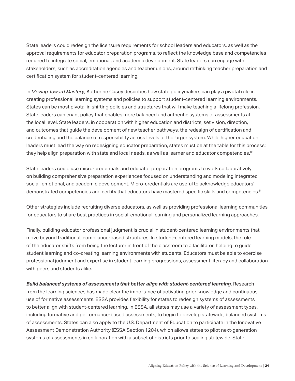State leaders could redesign the licensure requirements for school leaders and educators, as well as the approval requirements for educator preparation programs, to reflect the knowledge base and competencies required to integrate social, emotional, and academic development. State leaders can engage with stakeholders, such as accreditation agencies and teacher unions, around rethinking teacher preparation and certification system for student-centered learning.

In *Moving Toward Mastery*, Katherine Casey describes how state policymakers can play a pivotal role in creating professional learning systems and policies to support student-centered learning environments. States can be most pivotal in shifting policies and structures that will make teaching a lifelong profession. State leaders can enact policy that enables more balanced and authentic systems of assessments at the local level. State leaders, in cooperation with higher education and districts, set vision, direction, and outcomes that guide the development of new teacher pathways, the redesign of certification and credentialing and the balance of responsibility across levels of the larger system. While higher education leaders must lead the way on redesigning educator preparation, states must be at the table for this process; they help align preparation with state and local needs, as well as learner and educator competencies.<sup>63</sup>

State leaders could use micro-credentials and educator preparation programs to work collaboratively on building comprehensive preparation experiences focused on understanding and modeling integrated social, emotional, and academic development. Micro-credentials are useful to acknowledge educators' demonstrated competencies and certify that educators have mastered specific skills and competencies.<sup>64</sup>

Other strategies include recruiting diverse educators, as well as providing professional learning communities for educators to share best practices in social-emotional learning and personalized learning approaches.

Finally, building educator professional judgment is crucial in student-centered learning environments that move beyond traditional, compliance-based structures. In student-centered learning models, the role of the educator shifts from being the lecturer in front of the classroom to a facilitator, helping to guide student learning and co-creating learning environments with students. Educators must be able to exercise professional judgment and expertise in student learning progressions, assessment literacy and collaboration with peers and students alike.

**Build balanced systems of assessments that better align with student-centered learning. Research** from the learning sciences has made clear the importance of activating prior knowledge and continuous use of formative assessments. ESSA provides flexibility for states to redesign systems of assessments to better align with student-centered learning. In ESSA, all states may use a variety of assessment types, including formative and performance-based assessments, to begin to develop statewide, balanced systems of assessments. States can also apply to the U.S. Department of Education to participate in the Innovative Assessment Demonstration Authority (ESSA Section 1204), which allows states to pilot next-generation systems of assessments in collaboration with a subset of districts prior to scaling statewide. State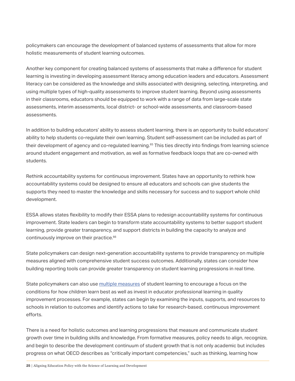policymakers can encourage the development of balanced systems of assessments that allow for more holistic measurements of student learning outcomes.

Another key component for creating balanced systems of assessments that make a difference for student learning is investing in developing assessment literacy among education leaders and educators. Assessment literacy can be considered as the knowledge and skills associated with designing, selecting, interpreting, and using multiple types of high-quality assessments to improve student learning. Beyond using assessments in their classrooms, educators should be equipped to work with a range of data from large-scale state assessments, interim assessments, local district- or school-wide assessments, and classroom-based assessments.

In addition to building educators' ability to assess student learning, there is an opportunity to build educators' ability to help students co-regulate their own learning. Student self-assessment can be included as part of their development of agency and co-regulated learning.<sup>65</sup> This ties directly into findings from learning science around student engagement and motivation, as well as formative feedback loops that are co-owned with students.

Rethink accountability systems for continuous improvement. States have an opportunity to rethink how accountability systems could be designed to ensure all educators and schools can give students the supports they need to master the knowledge and skills necessary for success and to support whole child development.

ESSA allows states flexibility to modify their ESSA plans to redesign accountability systems for continuous improvement. State leaders can begin to transform state accountability systems to better support student learning, provide greater transparency, and support districts in building the capacity to analyze and continuously improve on their practice.<sup>66</sup>

State policymakers can design next-generation accountability systems to provide transparency on multiple measures aligned with comprehensive student success outcomes. Additionally, states can consider how building reporting tools can provide greater transparency on student learning progressions in real time.

State policymakers can also use [multiple measures](https://www.inacol.org/news/states-rethinking-accountability-to-support-student-centered-learning-and-innovation/) of student learning to encourage a focus on the conditions for how children learn best as well as invest in educator professional learning in quality improvement processes. For example, states can begin by examining the inputs, supports, and resources to schools in relation to outcomes and identify actions to take for research-based, continuous improvement efforts.

There is a need for holistic outcomes and learning progressions that measure and communicate student growth over time in building skills and knowledge. From formative measures, policy needs to align, recognize, and begin to describe the development continuum of student growth that is not only academic but includes progress on what OECD describes as "critically important competencies," such as thinking, learning how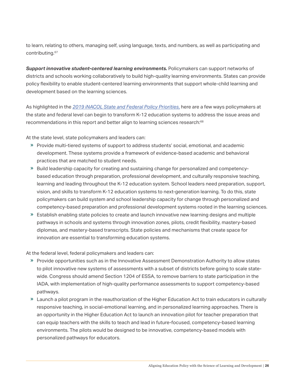to learn, relating to others, managing self, using language, texts, and numbers, as well as participating and contributing.67

*Support innovative student-centered learning environments.* Policymakers can support networks of districts and schools working collaboratively to build high-quality learning environments. States can provide policy flexibility to enable student-centered learning environments that support whole-child learning and development based on the learning sciences.

As highlighted in the *[2019 iNACOL State and Federal Policy Priorities](https://www.inacol.org/resource/2019-state-and-federal-policy-priorities/)*, here are a few ways policymakers at the state and federal level can begin to transform K-12 education systems to address the issue areas and recommendations in this report and better align to learning sciences research:68

At the state level, state policymakers and leaders can:

- » Provide multi-tiered systems of support to address students' social, emotional, and academic development. These systems provide a framework of evidence-based academic and behavioral practices that are matched to student needs.
- « Build leadership capacity for creating and sustaining change for personalized and competencybased education through preparation, professional development, and culturally responsive teaching, learning and leading throughout the K-12 education system. School leaders need preparation, support, vision, and skills to transform K-12 education systems to next-generation learning. To do this, state policymakers can build system and school leadership capacity for change through personalized and competency-based preparation and professional development systems rooted in the learning sciences.
- » Establish enabling state policies to create and launch innovative new learning designs and multiple pathways in schools and systems through innovation zones, pilots, credit flexibility, mastery-based diplomas, and mastery-based transcripts. State policies and mechanisms that create space for innovation are essential to transforming education systems.

At the federal level, federal policymakers and leaders can:

- « Provide opportunities such as in the Innovative Assessment Demonstration Authority to allow states to pilot innovative new systems of assessments with a subset of districts before going to scale statewide. Congress should amend Section 1204 of ESSA, to remove barriers to state participation in the IADA, with implementation of high-quality performance assessments to support competency-based pathways.
- » Launch a pilot program in the reauthorization of the Higher Education Act to train educators in culturally responsive teaching, in social-emotional learning, and in personalized learning approaches. There is an opportunity in the Higher Education Act to launch an innovation pilot for teacher preparation that can equip teachers with the skills to teach and lead in future-focused, competency-based learning environments. The pilots would be designed to be innovative, competency-based models with personalized pathways for educators.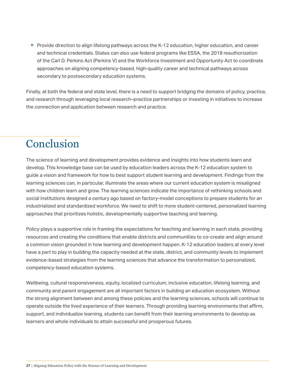» Provide direction to align lifelong pathways across the K-12 education, higher education, and career and technical credentials. States can also use federal programs like ESSA, the 2018 reauthorization of the Carl D. Perkins Act (Perkins V) and the Workforce Investment and Opportunity Act to coordinate approaches on aligning competency-based, high-quality career and technical pathways across secondary to postsecondary education systems.

Finally, at both the federal and state level, there is a need to support bridging the domains of policy, practice, and research through leveraging local research–practice partnerships or investing in initiatives to increase the connection and application between research and practice.

# Conclusion

The science of learning and development provides evidence and insights into how students learn and develop. This knowledge base can be used by education leaders across the K-12 education system to guide a vision and framework for how to best support student learning and development. Findings from the learning sciences can, in particular, illuminate the areas where our current education system is misaligned with how children learn and grow. The learning sciences indicate the importance of rethinking schools and social institutions designed a century ago based on factory-model conceptions to prepare students for an industrialized and standardized workforce. We need to shift to more student-centered, personalized learning approaches that prioritizes holistic, developmentally supportive teaching and learning.

Policy plays a supportive role in framing the expectations for teaching and learning in each state, providing resources and creating the conditions that enable districts and communities to co-create and align around a common vision grounded in how learning and development happen. K-12 education leaders at every level have a part to play in building the capacity needed at the state, district, and community levels to implement evidence-based strategies from the learning sciences that advance the transformation to personalized, competency-based education systems.

Wellbeing, cultural responsiveness, equity, localized curriculum, inclusive education, lifelong learning, and community and parent engagement are all important factors in building an education ecosystem. Without the strong alignment between and among these policies and the learning sciences, schools will continue to operate outside the lived experience of their learners. Through providing learning environments that affirm, support, and individualize learning, students can benefit from their learning environments to develop as learners and whole individuals to attain successful and prosperous futures.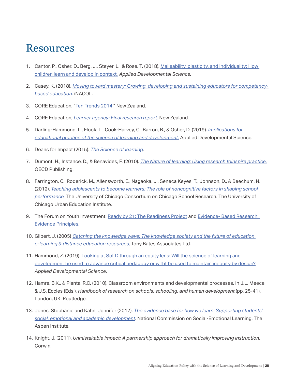## Resources

- 1. Cantor, P., Osher, D., Berg, J., Steyer, L., & Rose, T. (2018). Malleability, plasticity, and individuality: How [children learn and develop in context](https://www.tandfonline.com/doi/full/10.1080/10888691.2017.1398649)*. Applied Developmental Science.*
- 2. Casey, K. (2018). *[Moving toward mastery: Growing, developing and sustaining educators for competency](https://www.inacol.org/resource/moving-toward-mastery-growing-developing-and-sustaining-educators-for-competency-based-education/)[based education.](https://www.inacol.org/resource/moving-toward-mastery-growing-developing-and-sustaining-educators-for-competency-based-education/)* iNACOL.
- 3. CORE Education, "[Ten Trends 2014.](http://core-ed.org/research-and-innovation/ten-trends/2014/learner-agency/)" New Zealand.
- 4. CORE Education, *[Learner agency: Final research report](http://www.core-ed.org/assets/Uploads/Learner-Agency-CORE-Research.pdf)*. New Zealand.
- 5. Darling-Hammond, L., Flook, L., Cook-Harvey, C., Barron, B., & Osher, D. (2019). *[Implications for](https://www.tandfonline.com/doi/full/10.1080/10888691.2018.1537791)  [educational practice of the science of learning and development.](https://www.tandfonline.com/doi/full/10.1080/10888691.2018.1537791)* Applied Developmental Science.
- 6. Deans for Impact (2015). *[The Science of learning.](http://www.deansforimpact.org/wp-content/uploads/2016/12/The_Science_of_Learning.pdf)*
- 7. Dumont, H., Instance, D., & Benavides, F. (2010). *[The Nature of learning: Using research toinspire practice](http://www.oecd.org/education/ceri/thenatureoflearningusingresearchtoinspirepractice.htm)*. OECD Publishing.
- 8. Farrington, C., Roderick, M., Allensworth, E., Nagaoka, J., Seneca Keyes, T., Johnson, D., & Beechum, N. (2012). *[Teaching adolescents to become learners: The role of noncognitive factors in shaping school](https://www.greatschoolspartnership.org/wp-content/uploads/2016/11/Teaching-Adolescents-to-Become-Learners.pdf)  [performance.](https://www.greatschoolspartnership.org/wp-content/uploads/2016/11/Teaching-Adolescents-to-Become-Learners.pdf)* The University of Chicago Consortium on Chicago School Research. The University of Chicago Urban Education Institute.
- 9. The Forum on Youth Investment. [Ready by 21: The Readiness Project](https://sparkaction.org/readiness/key-ideas) and Evidence- Based Research: [Evidence Principles.](https://forumfyi.org/evidence-based-policy/evidence-principles/)
- 10. Gilbert, J. (2005) *[Catching the knowledge wave: The knowledge society and the future of education](https://www.tonybates.ca/2009/02/22/review-of-gilbert-j-2005-catching-the-knowledge-wave-the-knowledge-society-and-the-future-of-education/)  [e-learning & distance education resources,](https://www.tonybates.ca/2009/02/22/review-of-gilbert-j-2005-catching-the-knowledge-wave-the-knowledge-society-and-the-future-of-education/)* Tony Bates Associates Ltd.
- 11. Hammond, Z. (2019). Looking at SoLD through an equity lens: Will the science of learning and [development be used to advance critical pedagogy or will it be used to maintain inequity by design?](https://www.tandfonline.com/doi/full/10.1080/10888691.2019.1609733) *Applied Developmental Science*.
- 12. Hamre, B.K., & Pianta, R.C. (2010). Classroom environments and developmental processes. In J.L. Meece, & J.S. Eccles (Eds.), *Handbook of research on schools, schooling, and human development* (pp. 25-41). London, UK: Routledge.
- 13. Jones, Stephanie and Kahn, Jennifer (2017). *[The evidence base for how we learn: Supporting students'](https://assets.aspeninstitute.org/content/uploads/2018/03/FINAL_CDS-Evidence-Base.pdf)  [social, emotional and academic development.](https://assets.aspeninstitute.org/content/uploads/2018/03/FINAL_CDS-Evidence-Base.pdf)* National Commission on Social-Emotional Learning. The Aspen Institute.
- 14. Knight, J. (2011). *Unmistakable impact: A partnership approach for dramatically improving instruction*. Corwin.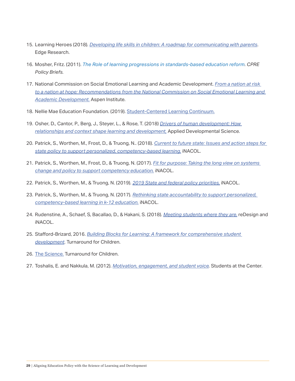- 15. Learning Heroes (2018). *[Developing life skills in children: A roadmap for communicating with parents](https://schd.ws/hosted_files/2018readyby21/98/Developing%20Life%20Skills%20in%20Children.pdf)*. Edge Research.
- 16. Mosher, Fritz. (2011). *[The Role of learning progressions in standards-based education reform.](https://repository.upenn.edu/cpre_policybriefs/40/) CPRE Policy Briefs.*
- 17. National Commission on Social Emotional Learning and Academic Development. *[From a nation at risk](https://www.aspeninstitute.org/programs/national-commission-on-social-emotional-and-academic-development/)  [to a nation at hope: Recommendations from the National Commission on Social Emotional Learning and](https://www.aspeninstitute.org/programs/national-commission-on-social-emotional-and-academic-development/)  [Academic Development.](https://www.aspeninstitute.org/programs/national-commission-on-social-emotional-and-academic-development/)* Aspen Institute.
- 18. Nellie Mae Education Foundation. (2019). [Student-Centered Learning Continuum.](https://www.nmefoundation.org/resources/student-centered-learning/student-centered-learning-continuum)
- 19. Osher, D., Cantor, P., Berg, J., Steyer, L., & Rose, T. (2018) *[Drivers of human development: How](https://www.tandfonline.com/doi/full/10.1080/10888691.2017.1398650)  [relationships and context shape learning and development,](https://www.tandfonline.com/doi/full/10.1080/10888691.2017.1398650)* Applied Developmental Science.
- 20. Patrick, S., Worthen, M., Frost, D., & Truong, N.. (2018). *[Current to future state: Issues and action steps for](https://www.inacol.org/resource/current-future-state-issues-action-steps-state-policy-support-personalized-competency-based-learning/)  [state policy to support personalized, competency-based learning.](https://www.inacol.org/resource/current-future-state-issues-action-steps-state-policy-support-personalized-competency-based-learning/)* iNACOL.
- 21. Patrick, S., Worthen, M., Frost, D., & Truong, N. (2017). *[Fit for purpose: Taking the long view on systems](https://www.inacol.org/resource/fit-purpose-taking-long-view-systems-change/)  [change and policy to support competency education.](https://www.inacol.org/resource/fit-purpose-taking-long-view-systems-change/)* iNACOL.
- 22. Patrick, S., Worthen, M., & Truong, N. (2019). *[2019 State and federal policy priorities,](https://www.inacol.org/resource/2019-state-and-federal-policy-priorities/)* iNACOL.
- 23. Patrick, S., Worthen, M., & Truong, N. (2017). *[Rethinking state accountability to support personalized,](https://www.inacol.org/resource/rethinking-state-accountability-support-personalized-competency-based-learning-k-12-education/)  [competency-based learning in k-12 education.](https://www.inacol.org/resource/rethinking-state-accountability-support-personalized-competency-based-learning-k-12-education/)* iNACOL.
- 24. Rudenstine, A., Schaef, S, Bacallao, D., & Hakani, S. (2018). *[Meeting students where they are.](https://www.inacol.org/resource/meeting-students-where-they-are-2/)* reDesign and iNACOL.
- 25. Stafford-Brizard, 2016. *[Building Blocks for Learning: A framework for comprehensive student](https://www.turnaroundusa.org/wp-content/uploads/2016/03/Turnaround-for-Children-Building-Blocks-for-Learningx-2.pdf)  [development](https://www.turnaroundusa.org/wp-content/uploads/2016/03/Turnaround-for-Children-Building-Blocks-for-Learningx-2.pdf)*. Turnaround for Children.
- 26. [The Science.](https://www.turnaroundusa.org/what-we-do/the-science/) Turnaround for Children.
- 27. Toshalis, E. and Nakkula, M. (2012). *[Motivation, engagement, and student voice](https://studentsatthecenterhub.org/wp-content/uploads/2012/04/Exec-Toshalis-Nakkula-032312.pdf).* Students at the Center.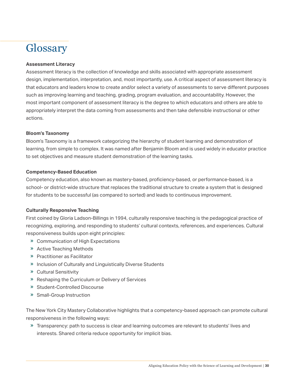# **Glossary**

#### **Assessment Literacy**

Assessment literacy is the collection of knowledge and skills associated with appropriate assessment design, implementation, interpretation, and, most importantly, use. A critical aspect of assessment literacy is that educators and leaders know to create and/or select a variety of assessments to serve different purposes such as improving learning and teaching, grading, program evaluation, and accountability. However, the most important component of assessment literacy is the degree to which educators and others are able to appropriately interpret the data coming from assessments and then take defensible instructional or other actions.

#### **Bloom's Taxonomy**

Bloom's Taxonomy is a framework categorizing the hierarchy of student learning and demonstration of learning, from simple to complex. It was named after Benjamin Bloom and is used widely in educator practice to set objectives and measure student demonstration of the learning tasks.

#### **Competency-Based Education**

Competency education, also known as mastery-based, proficiency-based, or performance-based, is a school- or district-wide structure that replaces the traditional structure to create a system that is designed for students to be successful (as compared to sorted) and leads to continuous improvement.

### **Culturally Responsive Teaching**

First coined by Gloria Ladson-Billings in 1994, culturally responsive teaching is the pedagogical practice of recognizing, exploring, and responding to students' cultural contexts, references, and experiences. Cultural responsiveness builds upon eight principles:

- » Communication of High Expectations
- » Active Teaching Methods
- » Practitioner as Facilitator
- » Inclusion of Culturally and Linguistically Diverse Students
- « Cultural Sensitivity
- » Reshaping the Curriculum or Delivery of Services
- » Student-Controlled Discourse
- » Small-Group Instruction

The New York City Mastery Collaborative highlights that a competency-based approach can promote cultural responsiveness in the following ways:

« Transparency: path to success is clear and learning outcomes are relevant to students' lives and interests. Shared criteria reduce opportunity for implicit bias.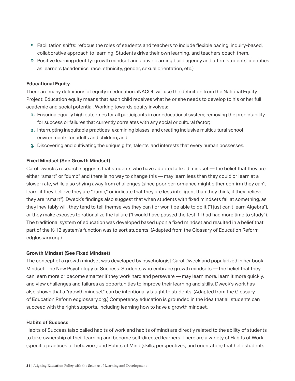- « Facilitation shifts: refocus the roles of students and teachers to include flexible pacing, inquiry-based, collaborative approach to learning. Students drive their own learning, and teachers coach them.
- « Positive learning identity: growth mindset and active learning build agency and affirm students' identities as learners (academics, race, ethnicity, gender, sexual orientation, etc.).

#### **Educational Equity**

There are many definitions of equity in education. iNACOL will use the definition from the National Equity Project: Education equity means that each child receives what he or she needs to develop to his or her full academic and social potential. Working towards equity involves:

- 1. Ensuring equally high outcomes for all participants in our educational system; removing the predictability for success or failures that currently correlates with any social or cultural factor;
- 2. Interrupting inequitable practices, examining biases, and creating inclusive multicultural school environments for adults and children; and
- 3. Discovering and cultivating the unique gifts, talents, and interests that every human possesses.

#### **Fixed Mindset (See Growth Mindset)**

Carol Dweck's research suggests that students who have adopted a fixed mindset — the belief that they are either "smart" or "dumb" and there is no way to change this — may learn less than they could or learn at a slower rate, while also shying away from challenges (since poor performance might either confirm they can't learn, if they believe they are "dumb," or indicate that they are less intelligent than they think, if they believe they are "smart"). Dweck's findings also suggest that when students with fixed mindsets fail at something, as they inevitably will, they tend to tell themselves they can't or won't be able to do it ("I just can't learn Algebra"), or they make excuses to rationalize the failure ("I would have passed the test if I had had more time to study"). The traditional system of education was developed based upon a fixed mindset and resulted in a belief that part of the K-12 system's function was to sort students. (Adapted from the Glossary of Education Reform edglossary.org.)

#### **Growth Mindset (See Fixed Mindset)**

The concept of a growth mindset was developed by psychologist Carol Dweck and popularized in her book, Mindset: The New Psychology of Success. Students who embrace growth mindsets — the belief that they can learn more or become smarter if they work hard and persevere — may learn more, learn it more quickly, and view challenges and failures as opportunities to improve their learning and skills. Dweck's work has also shown that a "growth mindset" can be intentionally taught to students. (Adapted from the Glossary of Education Reform edglossary.org.) Competency education is grounded in the idea that all students can succeed with the right supports, including learning how to have a growth mindset.

#### **Habits of Success**

Habits of Success (also called habits of work and habits of mind) are directly related to the ability of students to take ownership of their learning and become self-directed learners. There are a variety of Habits of Work (specific practices or behaviors) and Habits of Mind (skills, perspectives, and orientation) that help students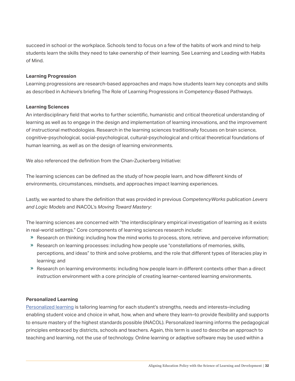succeed in school or the workplace. Schools tend to focus on a few of the habits of work and mind to help students learn the skills they need to take ownership of their learning. See Learning and Leading with Habits of Mind.

#### **Learning Progression**

Learning progressions are research-based approaches and maps how students learn key concepts and skills as described in Achieve's briefing The Role of Learning Progressions in Competency-Based Pathways.

#### **Learning Sciences**

An interdisciplinary field that works to further scientific, humanistic and critical theoretical understanding of learning as well as to engage in the design and implementation of learning innovations, and the improvement of instructional methodologies. Research in the learning sciences traditionally focuses on brain science, cognitive-psychological, social-psychological, cultural-psychological and critical theoretical foundations of human learning, as well as on the design of learning environments.

We also referenced the definition from the Chan-Zuckerberg Initiative:

The learning sciences can be defined as the study of how people learn, and how different kinds of environments, circumstances, mindsets, and approaches impact learning experiences.

Lastly, we wanted to share the definition that was provided in previous *CompetencyWorks* publication *Levers and Logic Models* and iNACOL's *Moving Toward Mastery:*

The learning sciences are concerned with "the interdisciplinary empirical investigation of learning as it exists in real-world settings." Core components of learning sciences research include:

- » Research on thinking: including how the mind works to process, store, retrieve, and perceive information;
- » Research on learning processes: including how people use "constellations of memories, skills, perceptions, and ideas" to think and solve problems, and the role that different types of literacies play in learning; and
- » Research on learning environments: including how people learn in different contexts other than a direct instruction environment with a core principle of creating learner-centered learning environments.

#### **Personalized Learning**

[Personalized learning](https://www.inacol.org/news/what-is-personalized-learning/) is tailoring learning for each student's strengths, needs and interests–including enabling student voice and choice in what, how, when and where they learn–to provide flexibility and supports to ensure mastery of the highest standards possible (iNACOL). Personalized learning informs the pedagogical principles embraced by districts, schools and teachers. Again, this term is used to describe an approach to teaching and learning, not the use of technology. Online learning or adaptive software may be used within a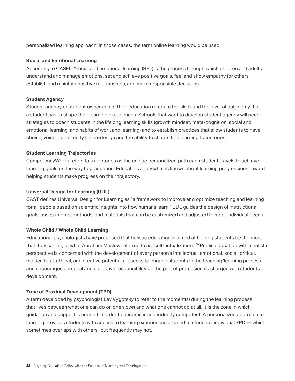personalized learning approach. In those cases, the term online learning would be used.

#### **Social and Emotional Learning**

According to CASEL, "social and emotional learning (SEL) is the process through which children and adults understand and manage emotions, set and achieve positive goals, feel and show empathy for others, establish and maintain positive relationships, and make responsible decisions."

#### **Student Agency**

Student agency or student ownership of their education refers to the skills and the level of autonomy that a student has to shape their learning experiences. Schools that want to develop student agency will need strategies to coach students in the lifelong learning skills (growth mindset, meta-cognition, social and emotional learning, and habits of work and learning) and to establish practices that allow students to have choice, voice, opportunity for co-design and the ability to shape their learning trajectories.

#### **Student Learning Trajectories**

CompetencyWorks refers to trajectories as the unique personalized path each student travels to achieve learning goals on the way to graduation. Educators apply what is known about learning progressions toward helping students make progress on their trajectory.

#### **Universal Design for Learning (UDL)**

CAST defines Universal Design for Learning as "a framework to improve and optimize teaching and learning for all people based on scientific insights into how humans learn." UDL guides the design of instructional goals, assessments, methods, and materials that can be customized and adjusted to meet individual needs.

#### **Whole Child / Whole Child Learning**

Educational psychologists have proposed that holistic education is aimed at helping students be the most that they can be, or what Abraham Maslow referred to as "self-actualization."69 Public education with a holistic perspective is concerned with the development of every person's intellectual, emotional, social, critical, multicultural, ethical, and creative potentials. It seeks to engage students in the teaching/learning process and encourages personal and collective responsibility on the part of professionals charged with students' development.

#### **Zone of Proximal Development (ZPD)**

A term developed by psychologist Lev Vygotsky to refer to the moment(s) during the learning process that lives between what one can do on one's own and what one cannot do at all. It is the zone in which guidance and support is needed in order to become independently competent. A personalized approach to learning provides students with access to learning experiences attuned to students' individual ZPD — which sometimes overlaps with others', but frequently may not.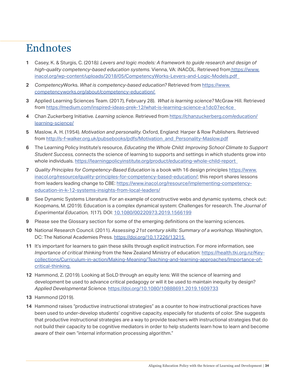## Endnotes

- **1** Casey, K. & Sturgis, C. (2018*). Levers and logic models: A framework to guide research and design of high-quality competency-based education systems.* Vienna, VA: iNACOL. Retrieved fro[m https://www.](https://www.inacol.org/wp-content/uploads/2018/05/CompetencyWorks-Levers-and-Logic-Models.pdf) [inacol.org/wp-content/uploads/2018/05/CompetencyWorks-Levers-and-Logic-Models.pdf](https://www.inacol.org/wp-content/uploads/2018/05/CompetencyWorks-Levers-and-Logic-Models.pdf)
- **2** *Competency*Works. *What is competency-based education?* Retrieved from [https://www.](https://www.competencyworks.org/about/competency-education/) [competencyworks.org/about/competency-education/.](https://www.competencyworks.org/about/competency-education/)
- **3** Applied Learning Sciences Team. (2017), February 28). *What is learning science?* McGraw Hill. Retrieved from <https://medium.com/inspired-ideas-prek-12/what-is-learning-science-a1dc07ec4ce>
- **4** Chan Zuckerberg Initiative. *Learning science*. Retrieved from [https://chanzuckerberg.com/education/](https://chanzuckerberg.com/education/learning-science/) [learning-science/](https://chanzuckerberg.com/education/learning-science/)
- **5** Maslow, A. H. (1954). *Motivation and personality.* Oxford, England: Harper & Row Publishers. Retrieved from [http://s-f-walker.org.uk/pubsebooks/pdfs/Motivation\\_and\\_Personality-Maslow.pdf](http://s-f-walker.org.uk/pubsebooks/pdfs/Motivation_and_Personality-Maslow.pdf)
- **6** The Learning Policy Institute's resource, *Educating the Whole Child: Improving School Climate to Support Student Success,* connects the science of learning to supports and settings in which students grow into whole individuals.<https://learningpolicyinstitute.org/product/educating-whole-child-report>
- **7** *Quality Principles for Competency-Based Education* is a book with 16 design principles [https://www.](https://www.inacol.org/resource/quality-principles-for-competency-based-education/) [inacol.org/resource/quality-principles-for-competency-based-education/](https://www.inacol.org/resource/quality-principles-for-competency-based-education/); this report shares lessons from leaders leading change to CBE: [https://www.inacol.org/resource/implementing-competency](https://www.inacol.org/resource/implementing-competency-education-in-k-12-systems-insights-from-local-leaders/)[education-in-k-12-systems-insights-from-local-leaders/](https://www.inacol.org/resource/implementing-competency-education-in-k-12-systems-insights-from-local-leaders/)
- **8** See Dynamic Systems Literature. For an example of constructive webs and dynamic systems, check out: Koopmans, M. (2019). Education is a complex dynamical system: Challenges for research. T*he Journal of Experimental Education, 1*(17). DOI: [10.1080/00220973.2019.1566199](https://www.tandfonline.com/doi/full/10.1080/00220973.2019.1566199)
- **9** Please see the Glossary section for some of the emerging definitions on the learning sciences.
- **10** National Research Council. (2011). *Assessing 21st century skills: Summary of a workshop.* Washington, DC: The National Academies Press. [https://doi.org/10.17226/13215](https://www.nap.edu/catalog/13215/assessing-21st-century-skills-summary-of-a-workshop)
- **11** It's important for learners to gain these skills through explicit instruction. For more information, see *Importance of critical thinking* from the New Zealand Ministry of education: [https://health.tki.org.nz/Key](https://health.tki.org.nz/Key-collections/Curriculum-in-action/Making-Meaning/Teaching-and-learning-approaches/Importance-of-critical-thinking)[collections/Curriculum-in-action/Making-Meaning/Teaching-and-learning-approaches/Importance-of](https://health.tki.org.nz/Key-collections/Curriculum-in-action/Making-Meaning/Teaching-and-learning-approaches/Importance-of-critical-thinking)[critical-thinking.](https://health.tki.org.nz/Key-collections/Curriculum-in-action/Making-Meaning/Teaching-and-learning-approaches/Importance-of-critical-thinking)
- **12** Hammond, Z. (2019). Looking at SoLD through an equity lens: Will the science of learning and development be used to advance critical pedagogy or will it be used to maintain inequity by design? *Applied Developmental Science.* [https://doi.org/10.1080/10888691.2019.1609733](https://www.tandfonline.com/doi/full/10.1080/10888691.2019.1609733)
- **13** Hammond (2019).
- **14** Hammond raises "productive instructional strategies" as a counter to how instructional practices have been used to under-develop students' cognitive capacity, especially for students of color. She suggests that productive instructional strategies are a way to provide teachers with instructional strategies that do not build their capacity to be cognitive mediators in order to help students learn how to learn and become aware of their own "internal information processing algorithm."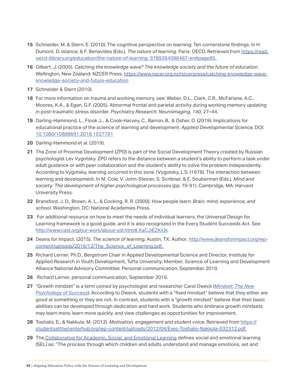- **15** Schneider, M. & Stern, E. (2010). The cognitive perspective on learning: Ten cornerstone findings. In H. Dumont, D. Istance, & F. Benavides (Eds.), *The nature of learning.* Paris: OECD. Retrieved from [https://read.](https://read.oecd-ilibrary.org/education/the-nature-of-learning_9789264086487-en#page85) [oecd-ilibrary.org/education/the-nature-of-learning\\_9789264086487-en#page85.](https://read.oecd-ilibrary.org/education/the-nature-of-learning_9789264086487-en#page85)
- **16** Gilbert, J. (2005). *Catching the knowledge wave? The knowledge society and the future of education.*  Wellington, New Zealand: NZCER Press. [https://www.nzcer.org.nz/nzcerpress/catching-knowledge-wave](https://www.nzcer.org.nz/nzcerpress/catching-knowledge-wave-knowledge-society-and-future-education)[knowledge-society-and-future-education](https://www.nzcer.org.nz/nzcerpress/catching-knowledge-wave-knowledge-society-and-future-education)
- **17** Schneider & Stern (2010).
- **18** For more information on trauma and working memory, see: Weber, D.L., Clark, C.R., McFarlane, A.C., Moores, K.A., & Egan, G.F. (2005). Abnormal frontal and parietal activity during working memory updating in post-traumatic stress disorder. *Psychiatry Research: Neuroimaging, 140*, 27–44.
- **19** Darling-Hammond, L., Flook ,L., & Cook-Harvey, C., Barron, B., & Osher, D. (2019). Implications for educational practice of the science of learning and development. *Applied Developmental Science,* DOI: [10.1080/10888691.2018.1537791](https://www.tandfonline.com/doi/full/10.1080/10888691.2018.1537791)
- **20** Darling-Hammond et al. (2019).
- **21** The Zone of Proximal Development (ZPD) is part of the Social Development Theory created by Russian psychologist Lev Vygotsky. ZPD refers to the distance between a student's ability to perform a task under adult guidance or with peer collaboration and the student's ability to solve the problem independently. According to Vygotsky, learning occurred in this zone. (Vygotsky, L.S. (1978). The interaction between learning and development. In M. Cole, V. John-Steiner, S. Scribner, & E. Souberman (Eds.), *Mind and society: The development of higher psychological processes* (pp. 79-91). Cambridge, MA: Harvard University Press.
- **22** Bransford, J. D., Brown, A. L., & Cocking, R. R. (2000). How people learn: *Brain, mind, experience, and school.* Washington, DC: National Academies Press.
- **23** For additional resource on how to meet the needs of individual learners, the Universal Design for Learning framework is a good guide, and it is also recognized in the Every Student Succeeds Act. See [http://www.cast.org/our-work/about-udl.html#.XaCJiEZKiUk](http://www.cast.org/our-work/about-udl.html#.XaYn0edKgW9)
- **24** Deans for Impact. (2015). *The science of learning.* Austin, TX: Author. [http://www.deansforimpact.org/wp](http://www.deansforimpact.org/wp-content/uploads/2016/12/The_Science_of_Learning.pdf)content/uploads/2016/12/The\_Science\_of\_Learning.pdf.
- **25** Richard Lerner, Ph.D., Bergstrom Chair in Applied Developmental Science and Director, Institute for Applied Research in Youth Development, Tufts University; Member, Science of Learning and Development Alliance National Advisory Committee. Personal communication, September 2019.
- **26** Richard Lerner, personal communication, September 2019.
- **27** "Growth mindset" is a term coined by psychologist and researcher Carol Dweck (*[Mindset: The New](https://www.indiebound.org/book/9780345472328)  [Psychology of Success](https://www.indiebound.org/book/9780345472328)*). According to Dweck, students with a "fixed mindset" believe that they either are good at something or they are not. In contrast, students with a "growth mindset" believe that their basic abilities can be developed through dedication and hard work. Students who embrace growth mindsets may learn more, learn more quickly, and view challenges as opportunities for improvement.
- **28** Toshalis, E., & Nakkula, M. (2012). *Motivation, engagement and student voice.* Retrieved from [https://](https://studentsatthecenterhub.org/wp-content/uploads/2012/04/Exec-Toshalis-Nakkula-032312.pdf) [studentsatthecenterhub.org/wp-content/uploads/2012/04/Exec-Toshalis-Nakkula-032312.pdf.](https://studentsatthecenterhub.org/wp-content/uploads/2012/04/Exec-Toshalis-Nakkula-032312.pdf)
- **29** The [Collaborative for Academic, Social, and Emotional Learning](https://casel.org/what-is-sel/) defines social and emotional learning (SEL) as: "The process through which children and adults understand and manage emotions, set and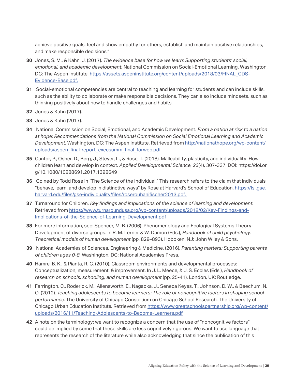achieve positive goals, feel and show empathy for others, establish and maintain positive relationships, and make responsible decisions."

- **30** Jones, S. M., & Kahn, J. (2017). *The evidence base for how we learn: Supporting students' social, emotional, and academic development.* National Commission on Social-Emotional Learning. Washington, DC: The Aspen Institute. [https://assets.aspeninstitute.org/content/uploads/2018/03/FINAL\\_CDS-](https://assets.aspeninstitute.org/content/uploads/2018/03/FINAL_CDS-Evidence-Base.pdf)[Evidence-Base.pdf.](https://assets.aspeninstitute.org/content/uploads/2018/03/FINAL_CDS-Evidence-Base.pdf)
- **31** Social-emotional competencies are central to teaching and learning for students and can include skills, such as the ability to collaborate or make responsible decisions. They can also include mindsets, such as thinking positively about how to handle challenges and habits.
- **32** Jones & Kahn (2017).
- **33** Jones & Kahn (2017).
- **34** National Commission on Social, Emotional, and Academic Development. *From a nation at risk to a nation at hope: Recommendations from the National Commission on Social Emotional Learning and Academic Development.* Washington, DC: The Aspen Institute. Retrieved from [http://nationathope.org/wp-content/](http://nationathope.org/wp-content/uploads/aspen_final-report_execsumm_final_forweb.pdf) [uploads/aspen\\_final-report\\_execsumm\\_final\\_forweb.pdf](http://nationathope.org/wp-content/uploads/aspen_final-report_execsumm_final_forweb.pdf)
- **35** Cantor, P., Osher, D., Berg, J., Steyer, L., & Rose, T. (2018). Malleability, plasticity, and individuality: How children learn and develop in context. *Applied Developmental Science, 23*(4), 307-337. DOI: https://doi.or g/10.1080/10888691.2017.1398649
- **36** Coined by Todd Rose in "The Science of the Individual." This research refers to the claim that individuals "behave, learn, and develop in distinctive ways" by Rose at Harvard's School of Education. [https://lsi.gse.](https://lsi.gse.harvard.edu/files/gse-individuality/files/roserouhanifischer2013.pdf) [harvard.edu/files/gse-individuality/files/roserouhanifischer2013.pdf.](https://lsi.gse.harvard.edu/files/gse-individuality/files/roserouhanifischer2013.pdf)
- **37** Turnaround for Children. *Key findings and implications of the science of learning and development.* Retrieved from [https://www.turnaroundusa.org/wp-content/uploads/2018/02/Key-Findings-and-](https://www.turnaroundusa.org/wp-content/uploads/2018/02/Key-Findings-and-Implications-of-the-Science-of-Learning-Development.pdf)[Implications-of-the-Science-of-Learning-Development.pdf](https://www.turnaroundusa.org/wp-content/uploads/2018/02/Key-Findings-and-Implications-of-the-Science-of-Learning-Development.pdf)
- **38** For more information, see: Spencer, M. B. (2006). Phenomenology and Ecological Systems Theory: Development of diverse groups. In R. M. Lerner & W. Damon (Eds.), *Handbook of child psychology: Theoretical models of human development* (pp. 829–893). Hoboken, NJ: John Wiley & Sons.
- **39** National Academies of Sciences, Engineering & Medicine. (2016). *Parenting matters: Supporting parents of children ages 0-8.* Washington, DC: National Academies Press.
- **40** Hamre, B. K., & Pianta, R. C. (2010). Classroom environments and developmental processes: Conceptualization, measurement, & improvement. In J. L. Meece, & J. S. Eccles (Eds.), *Handbook of research on schools, schooling, and human development* (pp. 25-41). London, UK: Routledge.
- **41** Farrington, C., Roderick, M., Allensworth, E., Nagaoka, J., Seneca Keyes, T., Johnson, D. W., & Beechum, N. O. (2012). *Teaching adolescents to become learners: The role of noncognitive factors in shaping school performance.* The University of Chicago Consortium on Chicago School Research. The University of Chicago Urban Education Institute. Retrieved from [https://www.greatschoolspartnership.org/wp-content/](https://www.greatschoolspartnership.org/wp-content/uploads/2016/11/Teaching-Adolescents-to-Become-Learners.pdf  ) [uploads/2016/11/Teaching-Adolescents-to-Become-Learners.pdf](https://www.greatschoolspartnership.org/wp-content/uploads/2016/11/Teaching-Adolescents-to-Become-Learners.pdf  )
- **42** A note on the terminology: we want to recognize a concern that the use of "noncognitive factors" could be implied by some that these skills are less cognitively rigorous. We want to use language that represents the research of the literature while also acknowledging that since the publication of this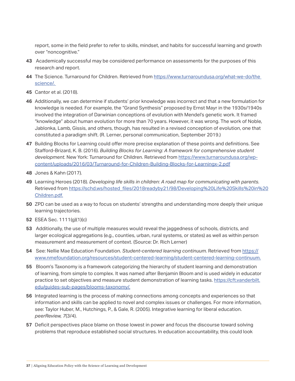report, some in the field prefer to refer to skills, mindset, and habits for successful learning and growth over "noncognitive."

- **43** Academically successful may be considered performance on assessments for the purposes of this research and report.
- **44** The Science. Turnaround for Children. Retrieved from [https://www.turnaroundusa.org/what-we-do/the](https://www.turnaroundusa.org/what-we-do/the-science/)  [science/.](https://www.turnaroundusa.org/what-we-do/the-science/)
- **45** Cantor et al. (2018).
- **46** Additionally, we can determine if students' prior knowledge was incorrect and that a new formulation for knowledge is needed. For example, the "Grand Synthesis" proposed by Ernst Mayr in the 1930s/1940s involved the integration of Darwinian conceptions of evolution with Mendel's genetic work. It framed "knowledge" about human evolution for more than 70 years. However, it was wrong. The work of Noble, Jablonka, Lamb, Gissis, and others, though, has resulted in a revised conception of evolution, one that constituted a paradigm shift. (R. Lerner, personal communication, September 2019.)
- **47** Building Blocks for Learning could offer more precise explanation of these points and definitions. See Stafford-Brizard, K. B. (2016). *Building Blocks for Learning: A framework for comprehensive student development.* New York: Turnaround for Children. Retrieved from [https://www.turnaroundusa.org/wp](https://www.turnaroundusa.org/wp-content/uploads/2016/03/Turnaround-for-Children-Building-Blocks-for-Learningx-2.pdf)[content/uploads/2016/03/Turnaround-for-Children-Building-Blocks-for-Learningx-2.pdf](https://www.turnaroundusa.org/wp-content/uploads/2016/03/Turnaround-for-Children-Building-Blocks-for-Learningx-2.pdf)
- **48** Jones & Kahn (2017).
- **49** Learning Heroes (2018). *Developing life skills in children: A road map for communicating with parents.*  Retrieved from [https://schd.ws/hosted\\_files/2018readyby21/98/Developing%20Life%20Skills%20in%20](https://schd.ws/hosted_files/2018readyby21/98/Developing%20Life%20Skills%20in%20Children.pdf) [Children.pdf.](https://schd.ws/hosted_files/2018readyby21/98/Developing%20Life%20Skills%20in%20Children.pdf)
- **50** ZPD can be used as a way to focus on students' strengths and understanding more deeply their unique learning trajectories.
- **52** ESEA Sec. 1111(g)(1)(c)
- **53** Additionally, the use of multiple measures would reveal the jaggedness of schools, districts, and larger ecological aggregations (e.g., counties, urban, rural systems, or states) as well as within person measurement and measurement of context. (Source: Dr. Rich Lerner)
- **54** See: Nellie Mae Education Foundation. *Student-centered learning continuum.* Retrieved from [https://](https://www.nmefoundation.org/resources/student-centered-learning/student-centered-learning-continuum) [www.nmefoundation.org/resources/student-centered-learning/student-centered-learning-continuum.](https://www.nmefoundation.org/resources/student-centered-learning/student-centered-learning-continuum)
- **55** Bloom's Taxonomy is a framework categorizing the hierarchy of student learning and demonstration of learning, from simple to complex. It was named after Benjamin Bloom and is used widely in educator practice to set objectives and measure student demonstration of learning tasks. [https://cft.vanderbilt.](https://cft.vanderbilt.edu/guides-sub-pages/blooms-taxonomy/) [edu/guides-sub-pages/blooms-taxonomy/.](https://cft.vanderbilt.edu/guides-sub-pages/blooms-taxonomy/)
- **56** Integrated learning is the process of making connections among concepts and experiences so that information and skills can be applied to novel and complex issues or challenges. For more information, see: Taylor Huber, M., Hutchings, P., & Gale, R. (2005). Integrative learning for liberal education. *peerReview, 7*(3/4).
- **57** Deficit perspectives place blame on those lowest in power and focus the discourse toward solving problems that reproduce established social structures. In education accountability, this could look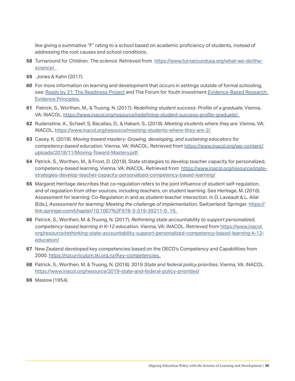like giving a summative "F" rating to a school based on academic proficiency of students, instead of addressing the root causes and school conditions.

- **58** Turnaround for Children. *The science.* Retrieved from [https://www.turnaroundusa.org/what-we-do/the](https://www.turnaroundusa.org/what-we-do/the-science/)[science/.](https://www.turnaroundusa.org/what-we-do/the-science/)
- **59** Jones & Kahn (2017).
- **60** For more information on learning and development that occurs in settings outside of formal schooling, see: [Ready by 21: The Readiness Project](https://sparkaction.org/readiness/key-ideas) and The Forum for Youth Investment Evidence-Based Research: [Evidence Principles.](https://forumfyi.org/evidence-based-policy/evidence-principles/)
- **61** Patrick, S., Worthen, M., & Truong, N. (2017). *Redefining student success: Profile of a graduate.* Vienna, VA: iNACOL. [https://www.inacol.org/resource/redefining-student-success-profile-graduate/.](https://www.inacol.org/resource/redefining-student-success-profile-graduate/)
- **62** Rudenstine, A., Schaef, S, Bacallao, D., & Hakani, S.. (2018). *Meeting students where they are.* Vienna, VA: iNACOL. <https://www.inacol.org/resource/meeting-students-where-they-are-2/>
- **63** Casey, K. (2018). *Moving toward mastery: Growing, developing, and sustaining educators for competency-based education*. Vienna, VA: iNACOL. Retrieved from [https://www.inacol.org/wp-content/](https://www.inacol.org/wp-content/uploads/2018/11/Moving-Toward-Mastery.pdf ) [uploads/2018/11/Moving-Toward-Mastery.pdf](https://www.inacol.org/wp-content/uploads/2018/11/Moving-Toward-Mastery.pdf )
- **64** Patrick, S., Worthen, M., & Frost, D. (2018). State strategies to develop teacher capacity for personalized, competency-based learning. Vienna, VA: iNACOL. Retrieved from [https://www.inacol.org/resource/state](https://www.inacol.org/resource/state-strategies-develop-teacher-capacity-personalized-competency-based-learning/)[strategies-develop-teacher-capacity-personalized-competency-based-learning/](https://www.inacol.org/resource/state-strategies-develop-teacher-capacity-personalized-competency-based-learning/)
- **65** Margaret Heritage describes that co-regulation refers to the joint influence of student self-regulation, and of regulation from other sources, including teachers, on student learning. See Heritage, M. (2016). Assessment for learning: Co-Regulation in and as student-teacher interaction. In D. Laveault & L. Allal (Eds.), *Assessment for learning: Meeting the challenge of implementation.* Switzerland: Springer. [https://](https://link.springer.com/chapter/10.1007%2F978-3-319-39211-0_19) [link.springer.com/chapter/10.1007%2F978-3-319-39211-0\\_19.](https://link.springer.com/chapter/10.1007%2F978-3-319-39211-0_19)
- **66** Patrick, S., Worthen, M. & Truong, N. (2017). *Rethinking state accountability to support personalized, competency-based learning in K-12 education.* Vienna, VA: iNACOL. Retrieved from [https://www.inacol.](https://www.inacol.org/resource/rethinking-state-accountability-support-personalized-competency-based-learning-k-12-education/) [org/resource/rethinking-state-accountability-support-personalized-competency-based-learning-k-12](https://www.inacol.org/resource/rethinking-state-accountability-support-personalized-competency-based-learning-k-12-education/) [education/](https://www.inacol.org/resource/rethinking-state-accountability-support-personalized-competency-based-learning-k-12-education/)
- **67** New Zealand developed key competencies based on the OECD's Competency and Capabilities from 2000. [https://nzcurriculum.tki.org.nz/Key-competencies.](https://nzcurriculum.tki.org.nz/Key-competencies)
- **68** Patrick, S., Worthen, M. & Truong, N. (2018). 2019 *State and federal policy priorities.* Vienna, VA: iNACOL. <https://www.inacol.org/resource/2019-state-and-federal-policy-priorities/>
- **69** Maslow (1954).